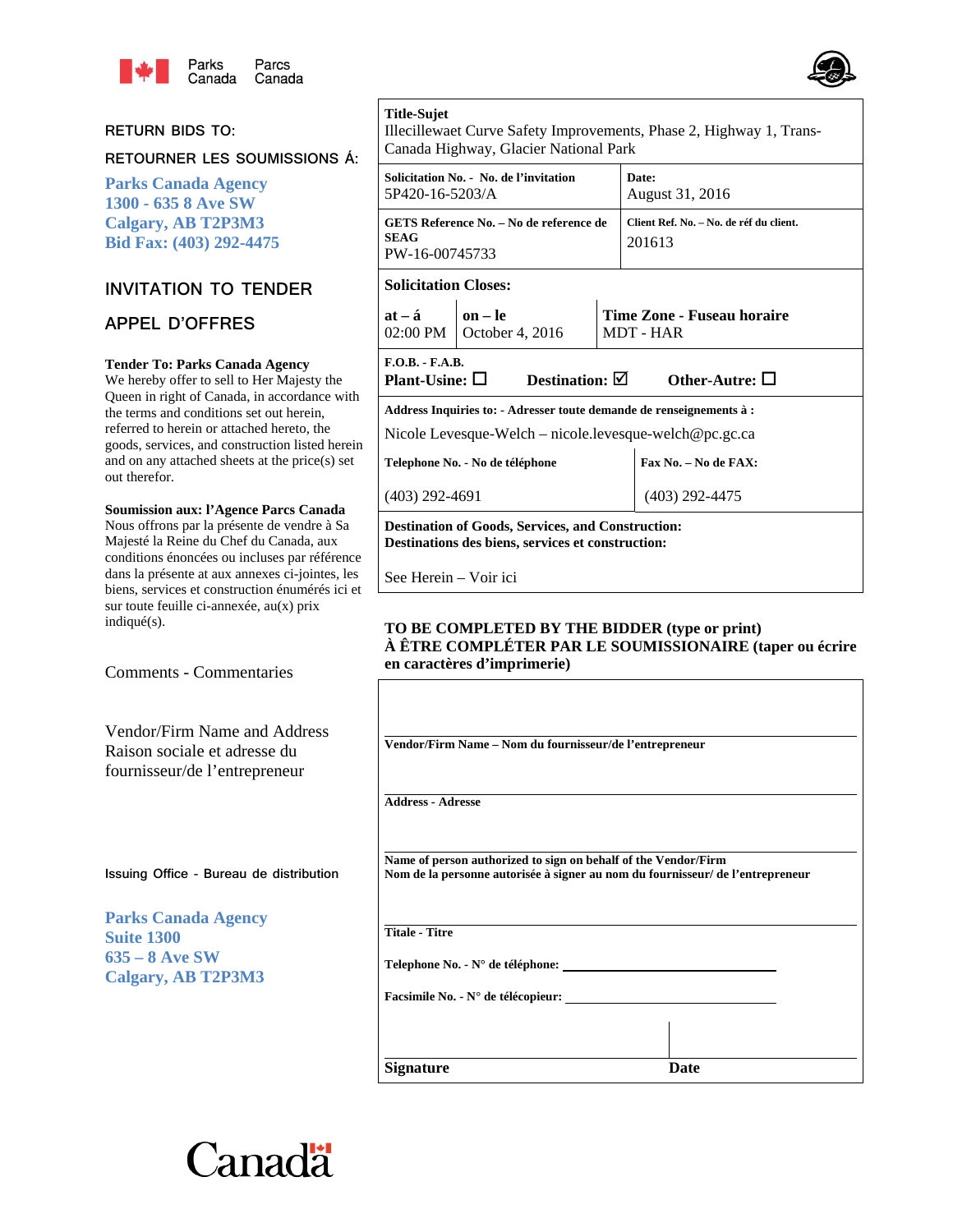

#### **RETURN BIDS TO:**

**RETOURNER LES SOUMISSIONS Á:** 

**Parks Canada Agency 1300 - 635 8 Ave SW Calgary, AB T2P3M3 Bid Fax: (403) 292-4475** 

## **INVITATION TO TENDER**

## **APPEL D'OFFRES**

#### **Tender To: Parks Canada Agency**

We hereby offer to sell to Her Majesty the Queen in right of Canada, in accordance with the terms and conditions set out herein, referred to herein or attached hereto, the goods, services, and construction listed herein and on any attached sheets at the price(s) set out therefor.

#### **Soumission aux: l'Agence Parcs Canada**

Nous offrons par la présente de vendre à Sa Majesté la Reine du Chef du Canada, aux conditions énoncées ou incluses par référence dans la présente at aux annexes ci-jointes, les biens, services et construction énumérés ici et sur toute feuille ci-annexée, au(x) prix indiqué(s).

Comments - Commentaries

Vendor/Firm Name and Address Raison sociale et adresse du fournisseur/de l'entrepreneur

**Issuing Office - Bureau de distribution**

**Parks Canada Agency Suite 1300 635 – 8 Ave SW Calgary, AB T2P3M3** 

## **Title-Sujet**

Illecillewaet Curve Safety Improvements, Phase 2, Highway 1, Trans-Canada Highway, Glacier National Park

| Solicitation No. - No. de l'invitation<br>5P420-16-5203/A                                                                      |                                           |  | Date:<br>August 31, 2016                          |  |
|--------------------------------------------------------------------------------------------------------------------------------|-------------------------------------------|--|---------------------------------------------------|--|
| GETS Reference No. - No de reference de<br><b>SEAG</b><br>PW-16-00745733                                                       |                                           |  | Client Ref. No. - No. de réf du client.<br>201613 |  |
| <b>Solicitation Closes:</b>                                                                                                    |                                           |  |                                                   |  |
| $at - a$                                                                                                                       | $\ln - \ln$<br>02:00 PM   October 4, 2016 |  | Time Zone - Fuseau horaire<br>MDT - HAR           |  |
| $F.O.B. - F.A.B.$<br>Plant-Usine: $\Box$                                                                                       | Destination: $\boxtimes$                  |  | Other-Autre: $\Box$                               |  |
| Address Inquiries to: - Adresser toute demande de renseignements à :<br>Nicole Levesque-Welch – nicole.levesque-welch@pc.gc.ca |                                           |  |                                                   |  |
| Telephone No. - No de téléphone                                                                                                |                                           |  | Fax No. - No de FAX:                              |  |
| (403) 292-4691                                                                                                                 |                                           |  | (403) 292-4475                                    |  |

**Destination of Goods, Services, and Construction: Destinations des biens, services et construction:**

See Herein – Voir ici

#### **TO BE COMPLETED BY THE BIDDER (type or print) À ÊTRE COMPLÉTER PAR LE SOUMISSIONAIRE (taper ou écrire en caractères d'imprimerie)**

| Vendor/Firm Name - Nom du fournisseur/de l'entrepreneur                                                                                          |      |
|--------------------------------------------------------------------------------------------------------------------------------------------------|------|
|                                                                                                                                                  |      |
| <b>Address - Adresse</b>                                                                                                                         |      |
|                                                                                                                                                  |      |
| Name of person authorized to sign on behalf of the Vendor/Firm<br>Nom de la personne autorisée à signer au nom du fournisseur/ de l'entrepreneur |      |
| <b>Titale - Titre</b>                                                                                                                            |      |
|                                                                                                                                                  |      |
| Facsimile No. - N° de télécopieur:                                                                                                               |      |
|                                                                                                                                                  |      |
| <b>Signature</b>                                                                                                                                 | Date |



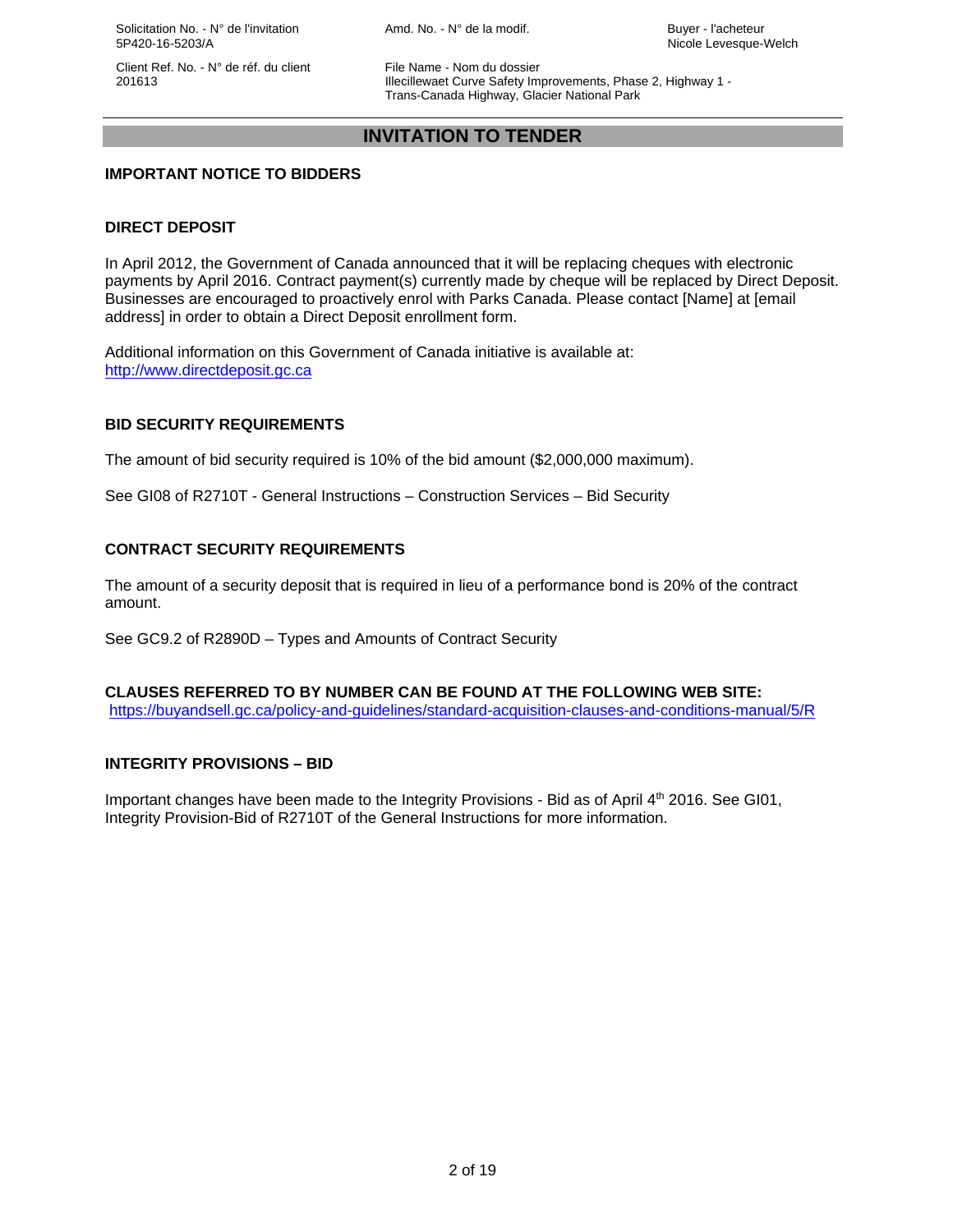Solicitation No. - N° de l'invitation  $Amd$ . No. - N° de la modif. Buyer - l'acheteur 5P420-16-5203/A Nicole Levesque-Welch

Client Ref. No. - N° de réf. du client File Name - Nom du dossier

 201613 Illecillewaet Curve Safety Improvements, Phase 2, Highway 1 - Trans-Canada Highway, Glacier National Park

## **INVITATION TO TENDER**

## **IMPORTANT NOTICE TO BIDDERS**

## **DIRECT DEPOSIT**

In April 2012, the Government of Canada announced that it will be replacing cheques with electronic payments by April 2016. Contract payment(s) currently made by cheque will be replaced by Direct Deposit. Businesses are encouraged to proactively enrol with Parks Canada. Please contact [Name] at [email address] in order to obtain a Direct Deposit enrollment form.

Additional information on this Government of Canada initiative is available at: http://www.directdeposit.gc.ca

## **BID SECURITY REQUIREMENTS**

The amount of bid security required is 10% of the bid amount (\$2,000,000 maximum).

See GI08 of R2710T - General Instructions – Construction Services – Bid Security

## **CONTRACT SECURITY REQUIREMENTS**

The amount of a security deposit that is required in lieu of a performance bond is 20% of the contract amount.

See GC9.2 of R2890D – Types and Amounts of Contract Security

#### **CLAUSES REFERRED TO BY NUMBER CAN BE FOUND AT THE FOLLOWING WEB SITE:**  https://buyandsell.gc.ca/policy-and-guidelines/standard-acquisition-clauses-and-conditions-manual/5/R

#### **INTEGRITY PROVISIONS – BID**

Important changes have been made to the Integrity Provisions - Bid as of April 4th 2016. See GI01, Integrity Provision-Bid of R2710T of the General Instructions for more information.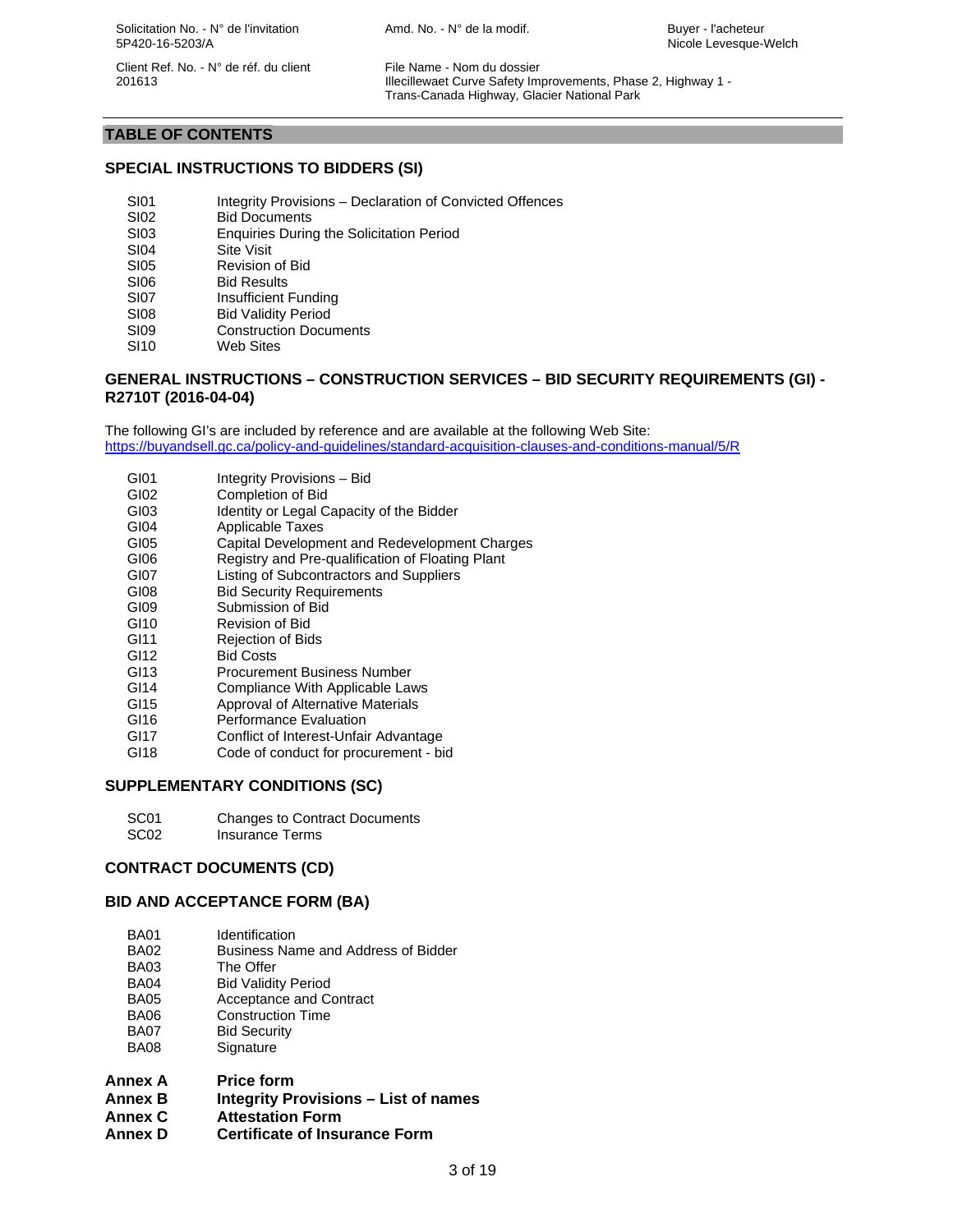Solicitation No. - N° de l'invitation  $A \cap A$ md. No. - N° de la modif. Buyer - l'acheteur 5P420-16-5203/A Nicole Levesque-Welch

Client Ref. No. - N° de réf. du client File Name - Nom du dossier

 201613 Illecillewaet Curve Safety Improvements, Phase 2, Highway 1 - Trans-Canada Highway, Glacier National Park

## **TABLE OF CONTENTS**

## **SPECIAL INSTRUCTIONS TO BIDDERS (SI)**

- SI01 Integrity Provisions Declaration of Convicted Offences
- SI02 Bid Documents
- SI03 Enquiries During the Solicitation Period
- SI04 Site Visit
- SI05 Revision of Bid
- SI06 Bid Results
- SI07 Insufficient Funding
- SI08 Bid Validity Period<br>SI09 Construction Docu
- **Construction Documents**
- SI10 Web Sites

#### **GENERAL INSTRUCTIONS – CONSTRUCTION SERVICES – BID SECURITY REQUIREMENTS (GI) - R2710T (2016-04-04)**

The following GI's are included by reference and are available at the following Web Site: https://buyandsell.gc.ca/policy-and-guidelines/standard-acquisition-clauses-and-conditions-manual/5/R

- GI01 Integrity Provisions Bid
- GI02 Completion of Bid
- GI03 Identity or Legal Capacity of the Bidder
- GI04 Applicable Taxes
- GI05 Capital Development and Redevelopment Charges
- GI06 Registry and Pre-qualification of Floating Plant
- GI07 Listing of Subcontractors and Suppliers
- GI08 Bid Security Requirements
- GI09 Submission of Bid
- GI10 Revision of Bid
- GI11 Rejection of Bids
- GI12 Bid Costs
- GI13 Procurement Business Number
- GI14 Compliance With Applicable Laws
- GI15 Approval of Alternative Materials
- GI16 Performance Evaluation
- GI17 Conflict of Interest-Unfair Advantage
- GI18 Code of conduct for procurement bid

#### **SUPPLEMENTARY CONDITIONS (SC)**

SC01 Changes to Contract Documents SC02 Insurance Terms

## **CONTRACT DOCUMENTS (CD)**

#### **BID AND ACCEPTANCE FORM (BA)**

- BA01 Identification<br>BA02 Business Nar
- BA02 Business Name and Address of Bidder<br>BA03 The Offer
- BA03 The Offer<br>BA04 Bid Validit
- BA04 Bid Validity Period<br>BA05 Acceptance and Co
- Acceptance and Contract BA06 Construction Time
- BA07 Bid Security
- BA08 Signature
- **Annex A Price form**
- **Annex B Integrity Provisions List of names**
- **Annex C Attestation Form**
- **Annex D Certificate of Insurance Form**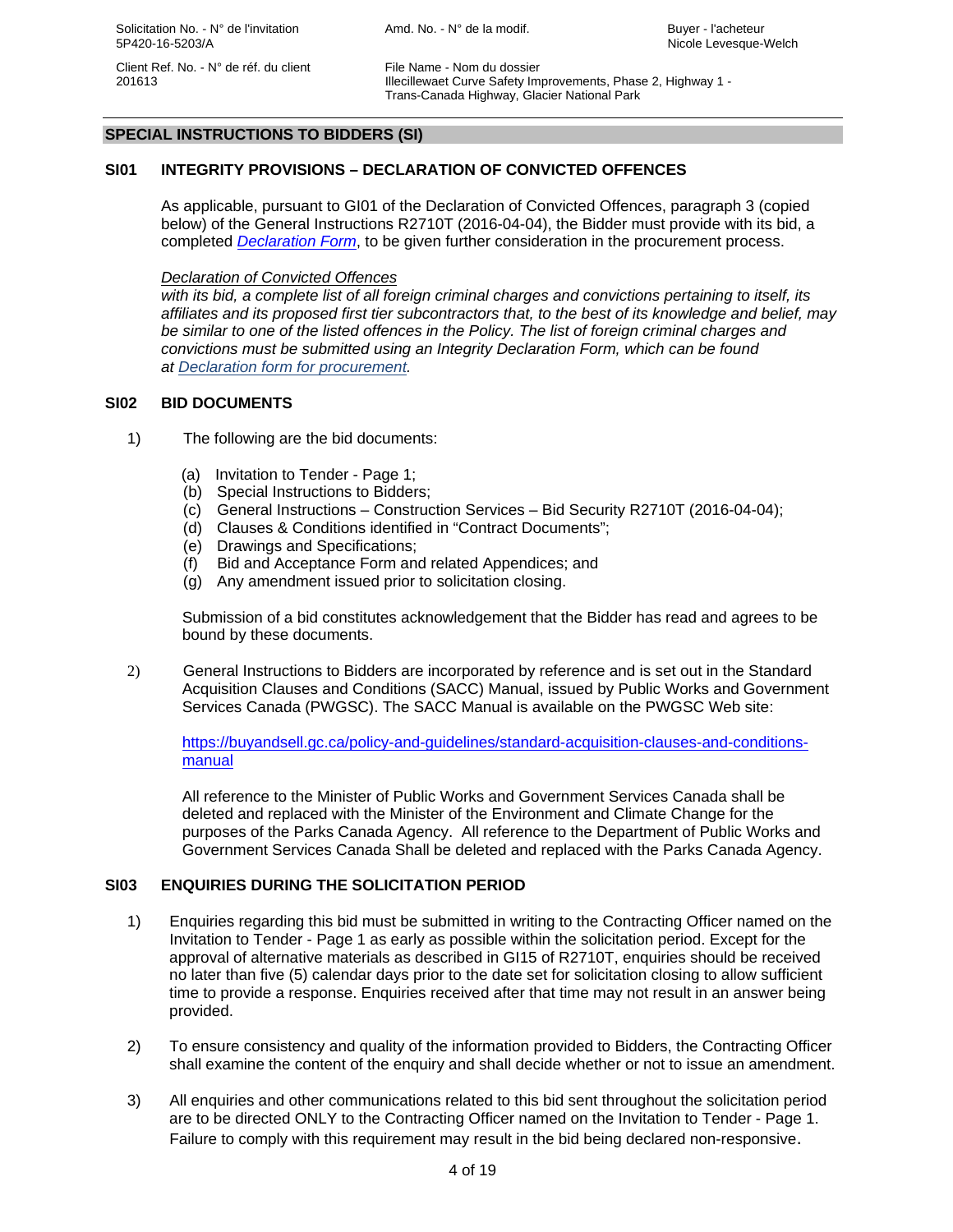201613 Illecillewaet Curve Safety Improvements, Phase 2, Highway 1 - Trans-Canada Highway, Glacier National Park

## **SPECIAL INSTRUCTIONS TO BIDDERS (SI)**

## **SI01 INTEGRITY PROVISIONS – DECLARATION OF CONVICTED OFFENCES**

 As applicable, pursuant to GI01 of the Declaration of Convicted Offences, paragraph 3 (copied below) of the General Instructions R2710T (2016-04-04), the Bidder must provide with its bid, a completed *Declaration Form*, to be given further consideration in the procurement process.

#### *Declaration of Convicted Offences*

with its bid, a complete list of all foreign criminal charges and convictions pertaining to itself, its *affiliates and its proposed first tier subcontractors that, to the best of its knowledge and belief, may be similar to one of the listed offences in the Policy. The list of foreign criminal charges and convictions must be submitted using an Integrity Declaration Form, which can be found at Declaration form for procurement.* 

#### **SI02 BID DOCUMENTS**

- 1) The following are the bid documents:
	- (a) Invitation to Tender Page 1;
	- (b) Special Instructions to Bidders;
	- (c) General Instructions Construction Services Bid Security R2710T (2016-04-04);
	- (d) Clauses & Conditions identified in "Contract Documents";
	- (e) Drawings and Specifications;
	- (f) Bid and Acceptance Form and related Appendices; and
	- (g) Any amendment issued prior to solicitation closing.

 Submission of a bid constitutes acknowledgement that the Bidder has read and agrees to be bound by these documents.

2) General Instructions to Bidders are incorporated by reference and is set out in the Standard Acquisition Clauses and Conditions (SACC) Manual, issued by Public Works and Government Services Canada (PWGSC). The SACC Manual is available on the PWGSC Web site:

https://buyandsell.gc.ca/policy-and-guidelines/standard-acquisition-clauses-and-conditionsmanual

All reference to the Minister of Public Works and Government Services Canada shall be deleted and replaced with the Minister of the Environment and Climate Change for the purposes of the Parks Canada Agency. All reference to the Department of Public Works and Government Services Canada Shall be deleted and replaced with the Parks Canada Agency.

#### **SI03 ENQUIRIES DURING THE SOLICITATION PERIOD**

- 1) Enquiries regarding this bid must be submitted in writing to the Contracting Officer named on the Invitation to Tender - Page 1 as early as possible within the solicitation period. Except for the approval of alternative materials as described in GI15 of R2710T, enquiries should be received no later than five (5) calendar days prior to the date set for solicitation closing to allow sufficient time to provide a response. Enquiries received after that time may not result in an answer being provided.
- 2) To ensure consistency and quality of the information provided to Bidders, the Contracting Officer shall examine the content of the enquiry and shall decide whether or not to issue an amendment.
- 3) All enquiries and other communications related to this bid sent throughout the solicitation period are to be directed ONLY to the Contracting Officer named on the Invitation to Tender - Page 1. Failure to comply with this requirement may result in the bid being declared non-responsive.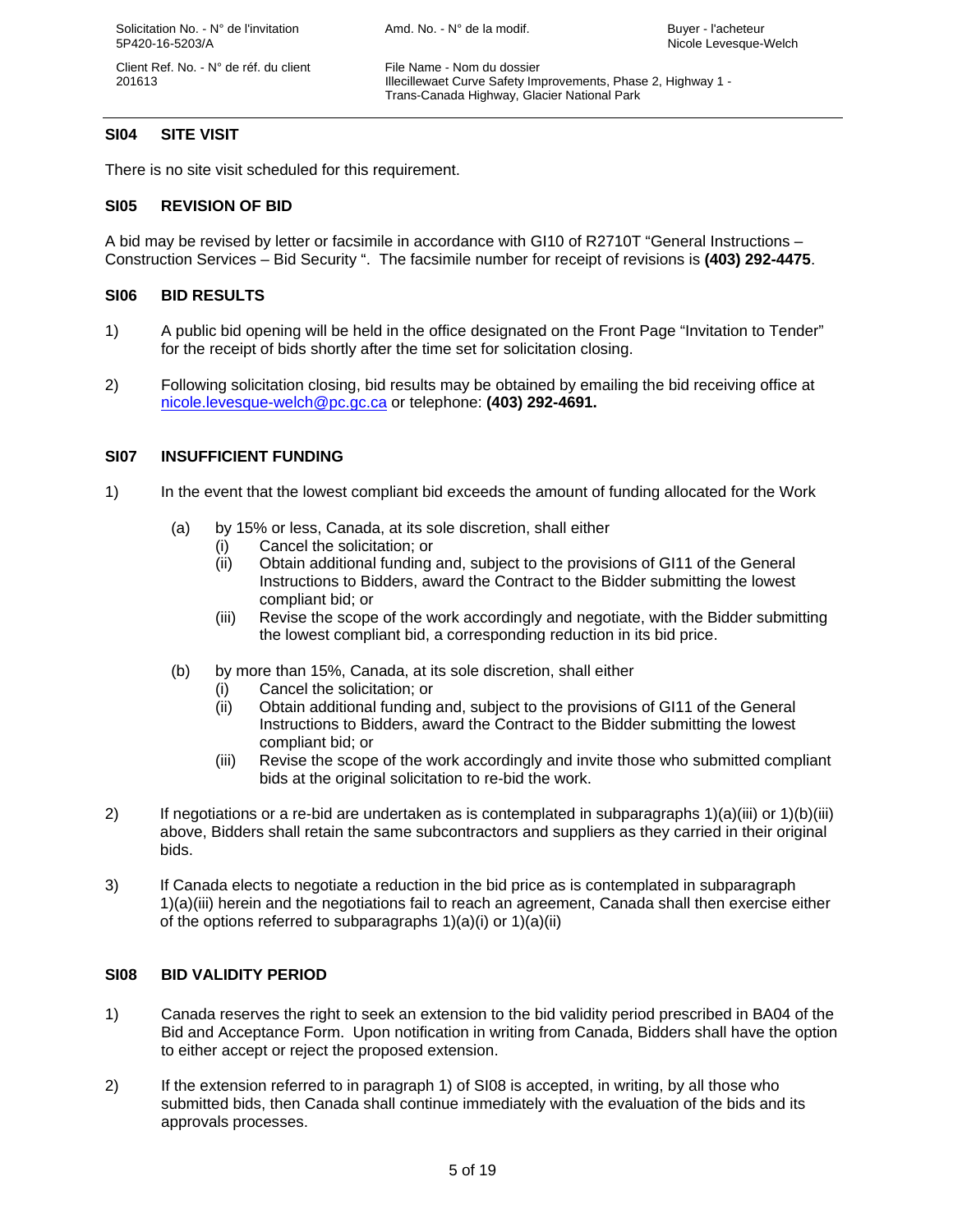201613 Illecillewaet Curve Safety Improvements, Phase 2, Highway 1 - Trans-Canada Highway, Glacier National Park

## **SI04 SITE VISIT**

There is no site visit scheduled for this requirement.

## **SI05 REVISION OF BID**

A bid may be revised by letter or facsimile in accordance with GI10 of R2710T "General Instructions – Construction Services – Bid Security ". The facsimile number for receipt of revisions is **(403) 292-4475**.

## **SI06 BID RESULTS**

- 1) A public bid opening will be held in the office designated on the Front Page "Invitation to Tender" for the receipt of bids shortly after the time set for solicitation closing.
- 2) Following solicitation closing, bid results may be obtained by emailing the bid receiving office at nicole.levesque-welch@pc.gc.ca or telephone: **(403) 292-4691.**

## **SI07 INSUFFICIENT FUNDING**

- 1) In the event that the lowest compliant bid exceeds the amount of funding allocated for the Work
	- (a) by 15% or less, Canada, at its sole discretion, shall either
		- (i) Cancel the solicitation; or
		- (ii) Obtain additional funding and, subject to the provisions of GI11 of the General Instructions to Bidders, award the Contract to the Bidder submitting the lowest compliant bid; or
		- (iii) Revise the scope of the work accordingly and negotiate, with the Bidder submitting the lowest compliant bid, a corresponding reduction in its bid price.
	- (b) by more than 15%, Canada, at its sole discretion, shall either
		- (i) Cancel the solicitation; or
		- (ii) Obtain additional funding and, subject to the provisions of GI11 of the General Instructions to Bidders, award the Contract to the Bidder submitting the lowest compliant bid; or
		- (iii) Revise the scope of the work accordingly and invite those who submitted compliant bids at the original solicitation to re-bid the work.
- 2) If negotiations or a re-bid are undertaken as is contemplated in subparagraphs 1)(a)(iii) or 1)(b)(iii) above, Bidders shall retain the same subcontractors and suppliers as they carried in their original bids.
- 3) If Canada elects to negotiate a reduction in the bid price as is contemplated in subparagraph 1)(a)(iii) herein and the negotiations fail to reach an agreement, Canada shall then exercise either of the options referred to subparagraphs 1)(a)(i) or 1)(a)(ii)

## **SI08 BID VALIDITY PERIOD**

- 1) Canada reserves the right to seek an extension to the bid validity period prescribed in BA04 of the Bid and Acceptance Form. Upon notification in writing from Canada, Bidders shall have the option to either accept or reject the proposed extension.
- 2) If the extension referred to in paragraph 1) of SI08 is accepted, in writing, by all those who submitted bids, then Canada shall continue immediately with the evaluation of the bids and its approvals processes.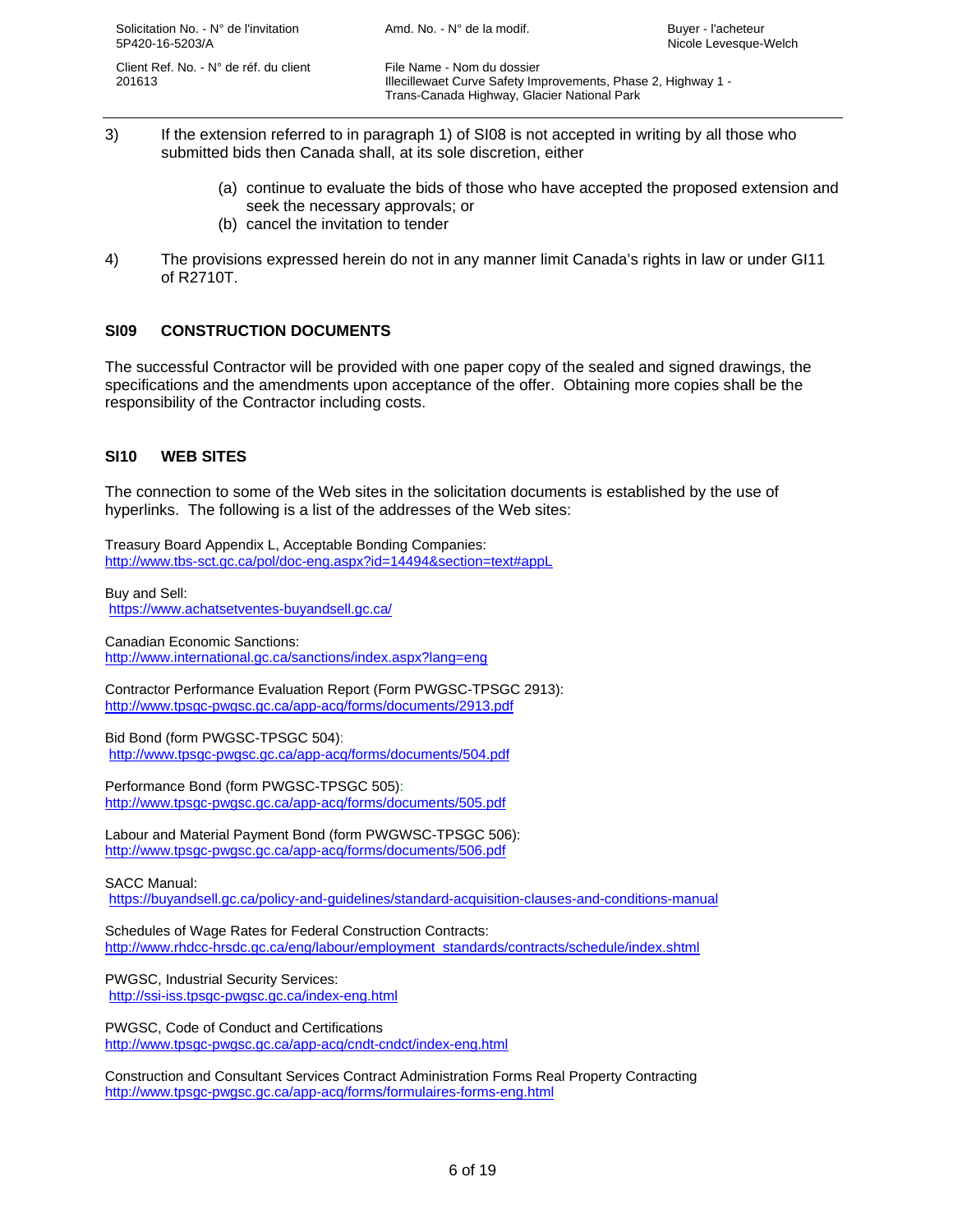201613 Illecillewaet Curve Safety Improvements, Phase 2, Highway 1 - Trans-Canada Highway, Glacier National Park

- 3) If the extension referred to in paragraph 1) of SI08 is not accepted in writing by all those who submitted bids then Canada shall, at its sole discretion, either
	- (a) continue to evaluate the bids of those who have accepted the proposed extension and seek the necessary approvals; or
	- (b) cancel the invitation to tender
- 4) The provisions expressed herein do not in any manner limit Canada's rights in law or under GI11 of R2710T.

## **SI09 CONSTRUCTION DOCUMENTS**

The successful Contractor will be provided with one paper copy of the sealed and signed drawings, the specifications and the amendments upon acceptance of the offer. Obtaining more copies shall be the responsibility of the Contractor including costs.

## **SI10 WEB SITES**

The connection to some of the Web sites in the solicitation documents is established by the use of hyperlinks. The following is a list of the addresses of the Web sites:

Treasury Board Appendix L, Acceptable Bonding Companies: http://www.tbs-sct.gc.ca/pol/doc-eng.aspx?id=14494&section=text#appL

Buy and Sell: https://www.achatsetventes-buyandsell.gc.ca/

Canadian Economic Sanctions: http://www.international.gc.ca/sanctions/index.aspx?lang=eng

Contractor Performance Evaluation Report (Form PWGSC-TPSGC 2913): http://www.tpsgc-pwgsc.gc.ca/app-acq/forms/documents/2913.pdf

Bid Bond (form PWGSC-TPSGC 504): http://www.tpsgc-pwgsc.gc.ca/app-acq/forms/documents/504.pdf

Performance Bond (form PWGSC-TPSGC 505): http://www.tpsgc-pwgsc.gc.ca/app-acq/forms/documents/505.pdf

Labour and Material Payment Bond (form PWGWSC-TPSGC 506): http://www.tpsgc-pwgsc.gc.ca/app-acq/forms/documents/506.pdf

SACC Manual:

https://buyandsell.gc.ca/policy-and-guidelines/standard-acquisition-clauses-and-conditions-manual

Schedules of Wage Rates for Federal Construction Contracts: http://www.rhdcc-hrsdc.gc.ca/eng/labour/employment\_standards/contracts/schedule/index.shtml

PWGSC, Industrial Security Services: http://ssi-iss.tpsgc-pwgsc.gc.ca/index-eng.html

PWGSC, Code of Conduct and Certifications http://www.tpsgc-pwgsc.gc.ca/app-acq/cndt-cndct/index-eng.html

Construction and Consultant Services Contract Administration Forms Real Property Contracting http://www.tpsgc-pwgsc.gc.ca/app-acq/forms/formulaires-forms-eng.html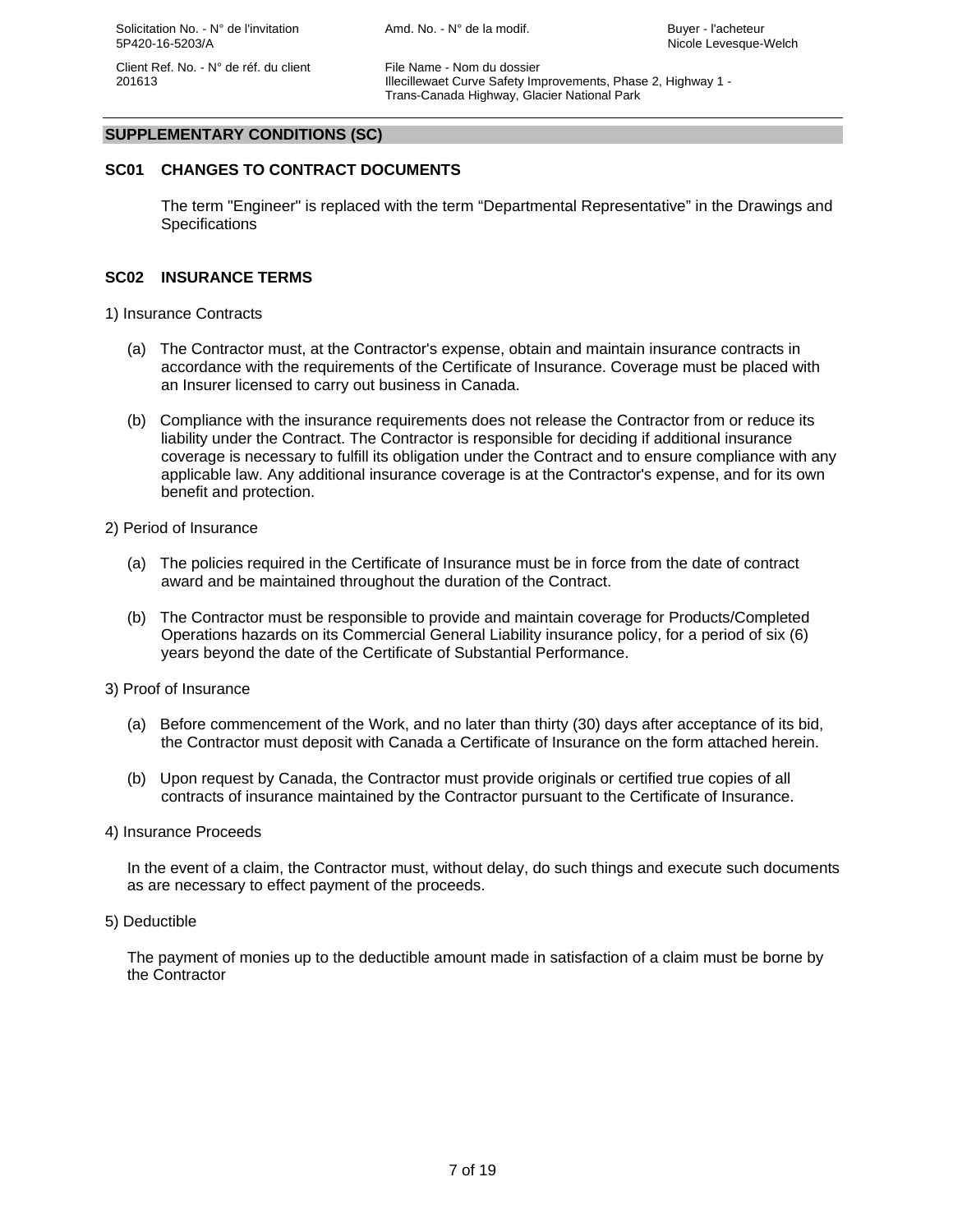201613 Illecillewaet Curve Safety Improvements, Phase 2, Highway 1 - Trans-Canada Highway, Glacier National Park

#### **SUPPLEMENTARY CONDITIONS (SC)**

## **SC01 CHANGES TO CONTRACT DOCUMENTS**

The term "Engineer" is replaced with the term "Departmental Representative" in the Drawings and **Specifications** 

#### **SC02 INSURANCE TERMS**

- 1) Insurance Contracts
	- (a) The Contractor must, at the Contractor's expense, obtain and maintain insurance contracts in accordance with the requirements of the Certificate of Insurance. Coverage must be placed with an Insurer licensed to carry out business in Canada.
	- (b) Compliance with the insurance requirements does not release the Contractor from or reduce its liability under the Contract. The Contractor is responsible for deciding if additional insurance coverage is necessary to fulfill its obligation under the Contract and to ensure compliance with any applicable law. Any additional insurance coverage is at the Contractor's expense, and for its own benefit and protection.
- 2) Period of Insurance
	- (a) The policies required in the Certificate of Insurance must be in force from the date of contract award and be maintained throughout the duration of the Contract.
	- (b) The Contractor must be responsible to provide and maintain coverage for Products/Completed Operations hazards on its Commercial General Liability insurance policy, for a period of six (6) years beyond the date of the Certificate of Substantial Performance.
- 3) Proof of Insurance
	- (a) Before commencement of the Work, and no later than thirty (30) days after acceptance of its bid, the Contractor must deposit with Canada a Certificate of Insurance on the form attached herein.
	- (b) Upon request by Canada, the Contractor must provide originals or certified true copies of all contracts of insurance maintained by the Contractor pursuant to the Certificate of Insurance.
- 4) Insurance Proceeds

In the event of a claim, the Contractor must, without delay, do such things and execute such documents as are necessary to effect payment of the proceeds.

5) Deductible

The payment of monies up to the deductible amount made in satisfaction of a claim must be borne by the Contractor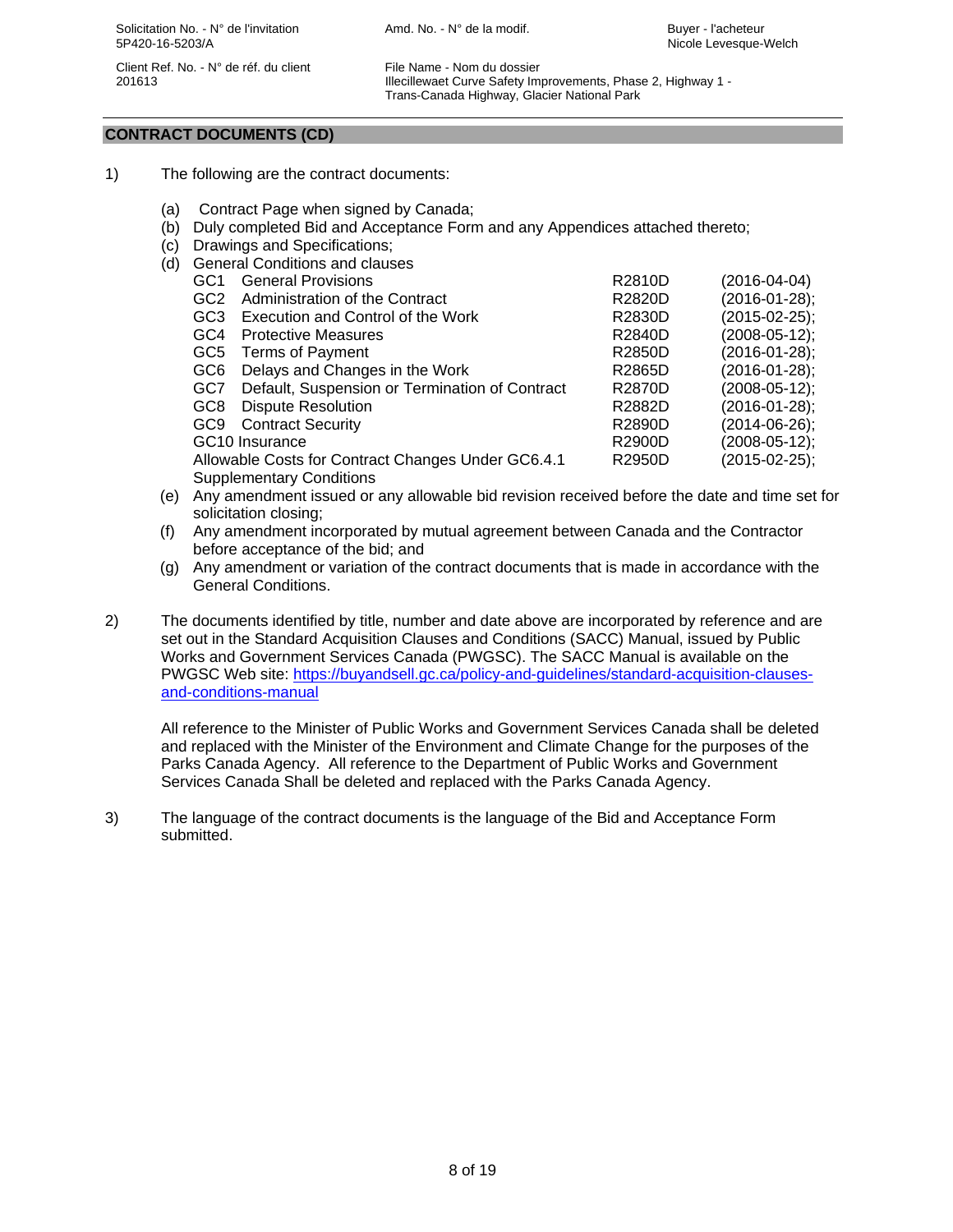201613 Illecillewaet Curve Safety Improvements, Phase 2, Highway 1 - Trans-Canada Highway, Glacier National Park

## **CONTRACT DOCUMENTS (CD)**

- 1) The following are the contract documents:
	- (a) Contract Page when signed by Canada;
	- (b) Duly completed Bid and Acceptance Form and any Appendices attached thereto;
- (c) Drawings and Specifications;
- (d) General Conditions and clauses

|  | GC1 | <b>General Provisions</b>                          | R2810D        | $(2016 - 04 - 04)$ |
|--|-----|----------------------------------------------------|---------------|--------------------|
|  | GC2 | Administration of the Contract                     | R2820D        | (2016-01-28);      |
|  | GC3 | Execution and Control of the Work                  | <b>R2830D</b> | $(2015-02-25);$    |
|  | GC4 | <b>Protective Measures</b>                         | R2840D        | $(2008-05-12);$    |
|  | GC5 | <b>Terms of Payment</b>                            | R2850D        | $(2016-01-28);$    |
|  | GC6 | Delays and Changes in the Work                     | R2865D        | $(2016-01-28);$    |
|  | GC7 | Default, Suspension or Termination of Contract     | R2870D        | $(2008-05-12);$    |
|  | GC8 | <b>Dispute Resolution</b>                          | R2882D        | $(2016-01-28);$    |
|  | GC9 | <b>Contract Security</b>                           | R2890D        | $(2014-06-26);$    |
|  |     | GC10 Insurance                                     | R2900D        | $(2008-05-12);$    |
|  |     | Allowable Costs for Contract Changes Under GC6.4.1 | R2950D        | $(2015-02-25);$    |
|  |     | <b>Supplementary Conditions</b>                    |               |                    |
|  |     |                                                    |               |                    |

- (e) Any amendment issued or any allowable bid revision received before the date and time set for solicitation closing;
- (f) Any amendment incorporated by mutual agreement between Canada and the Contractor before acceptance of the bid; and
- (g) Any amendment or variation of the contract documents that is made in accordance with the General Conditions.
- 2) The documents identified by title, number and date above are incorporated by reference and are set out in the Standard Acquisition Clauses and Conditions (SACC) Manual, issued by Public Works and Government Services Canada (PWGSC). The SACC Manual is available on the PWGSC Web site: https://buyandsell.gc.ca/policy-and-guidelines/standard-acquisition-clausesand-conditions-manual

All reference to the Minister of Public Works and Government Services Canada shall be deleted and replaced with the Minister of the Environment and Climate Change for the purposes of the Parks Canada Agency. All reference to the Department of Public Works and Government Services Canada Shall be deleted and replaced with the Parks Canada Agency.

3) The language of the contract documents is the language of the Bid and Acceptance Form submitted.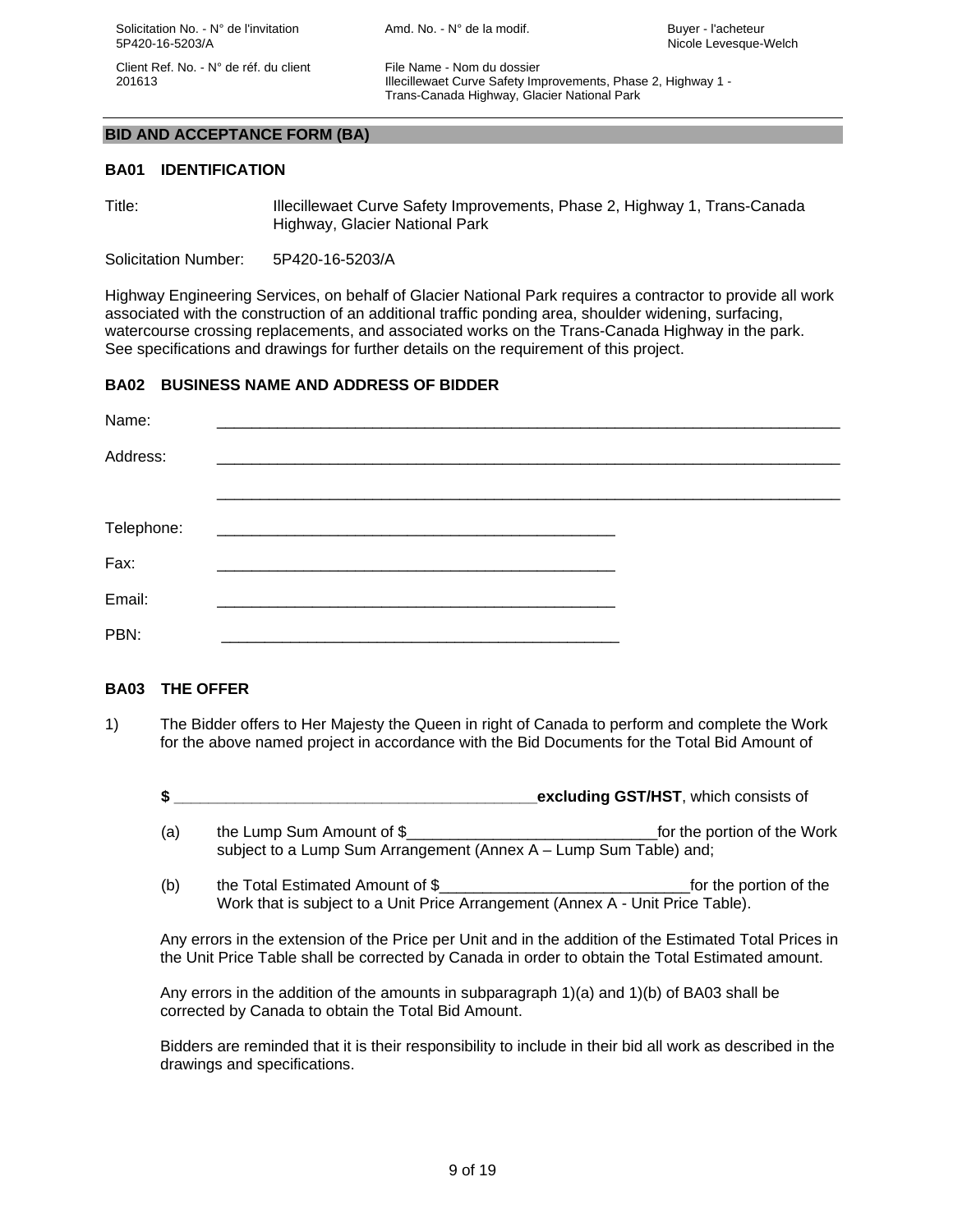201613 Illecillewaet Curve Safety Improvements, Phase 2, Highway 1 - Trans-Canada Highway, Glacier National Park

#### **BID AND ACCEPTANCE FORM (BA)**

#### **BA01 IDENTIFICATION**

Title: Illecillewaet Curve Safety Improvements, Phase 2, Highway 1, Trans-Canada Highway, Glacier National Park

Solicitation Number: 5P420-16-5203/A

Highway Engineering Services, on behalf of Glacier National Park requires a contractor to provide all work associated with the construction of an additional traffic ponding area, shoulder widening, surfacing, watercourse crossing replacements, and associated works on the Trans-Canada Highway in the park. See specifications and drawings for further details on the requirement of this project.

## **BA02 BUSINESS NAME AND ADDRESS OF BIDDER**

| Name:      |  |
|------------|--|
| Address:   |  |
|            |  |
| Telephone: |  |
| Fax:       |  |
| Email:     |  |
| PBN:       |  |

#### **BA03 THE OFFER**

- 1) The Bidder offers to Her Majesty the Queen in right of Canada to perform and complete the Work for the above named project in accordance with the Bid Documents for the Total Bid Amount of
	- **\$ \_\_\_\_\_\_\_\_\_\_\_\_\_\_\_\_\_\_\_\_\_\_\_\_\_\_\_\_\_\_\_\_\_\_\_\_\_\_\_\_\_\_excluding GST/HST**, which consists of
	- (a) the Lump Sum Amount of \$\_\_\_\_\_\_\_\_\_\_\_\_\_\_\_\_\_\_\_\_\_\_\_\_\_\_\_\_\_for the portion of the Work subject to a Lump Sum Arrangement (Annex A – Lump Sum Table) and;
	- (b) the Total Estimated Amount of \$  $\qquad \qquad$  for the portion of the Work that is subject to a Unit Price Arrangement (Annex A - Unit Price Table).

Any errors in the extension of the Price per Unit and in the addition of the Estimated Total Prices in the Unit Price Table shall be corrected by Canada in order to obtain the Total Estimated amount.

Any errors in the addition of the amounts in subparagraph 1)(a) and 1)(b) of BA03 shall be corrected by Canada to obtain the Total Bid Amount.

Bidders are reminded that it is their responsibility to include in their bid all work as described in the drawings and specifications.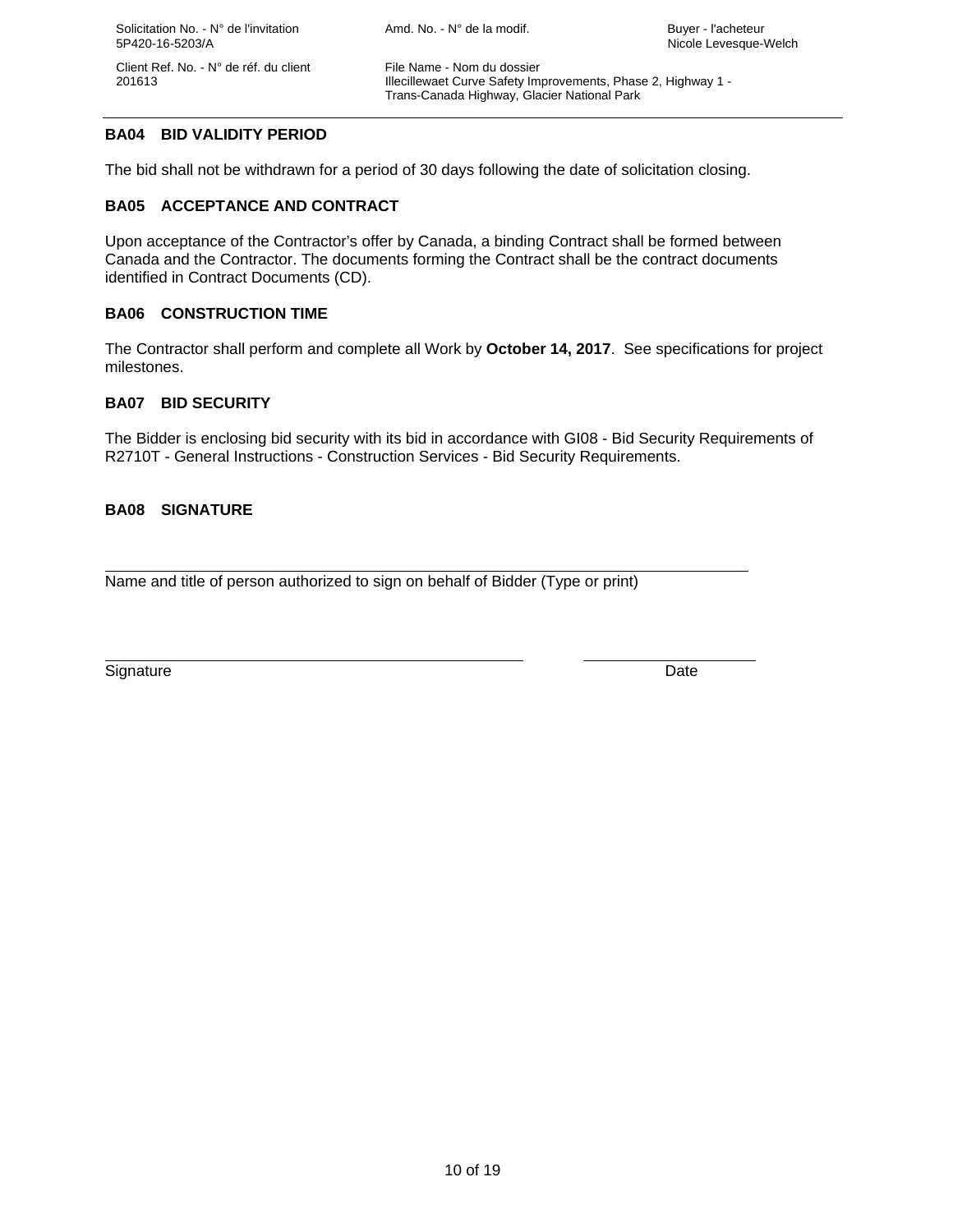201613 Illecillewaet Curve Safety Improvements, Phase 2, Highway 1 - Trans-Canada Highway, Glacier National Park

## **BA04 BID VALIDITY PERIOD**

The bid shall not be withdrawn for a period of 30 days following the date of solicitation closing.

## **BA05 ACCEPTANCE AND CONTRACT**

Upon acceptance of the Contractor's offer by Canada, a binding Contract shall be formed between Canada and the Contractor. The documents forming the Contract shall be the contract documents identified in Contract Documents (CD).

## **BA06 CONSTRUCTION TIME**

The Contractor shall perform and complete all Work by **October 14, 2017**.See specifications for project milestones.

## **BA07 BID SECURITY**

The Bidder is enclosing bid security with its bid in accordance with GI08 - Bid Security Requirements of R2710T - General Instructions - Construction Services - Bid Security Requirements.

## **BA08 SIGNATURE**

 $\overline{a}$ Name and title of person authorized to sign on behalf of Bidder (Type or print)

Signature Date Date of the Contract of the Contract of the Contract of the Date Date Date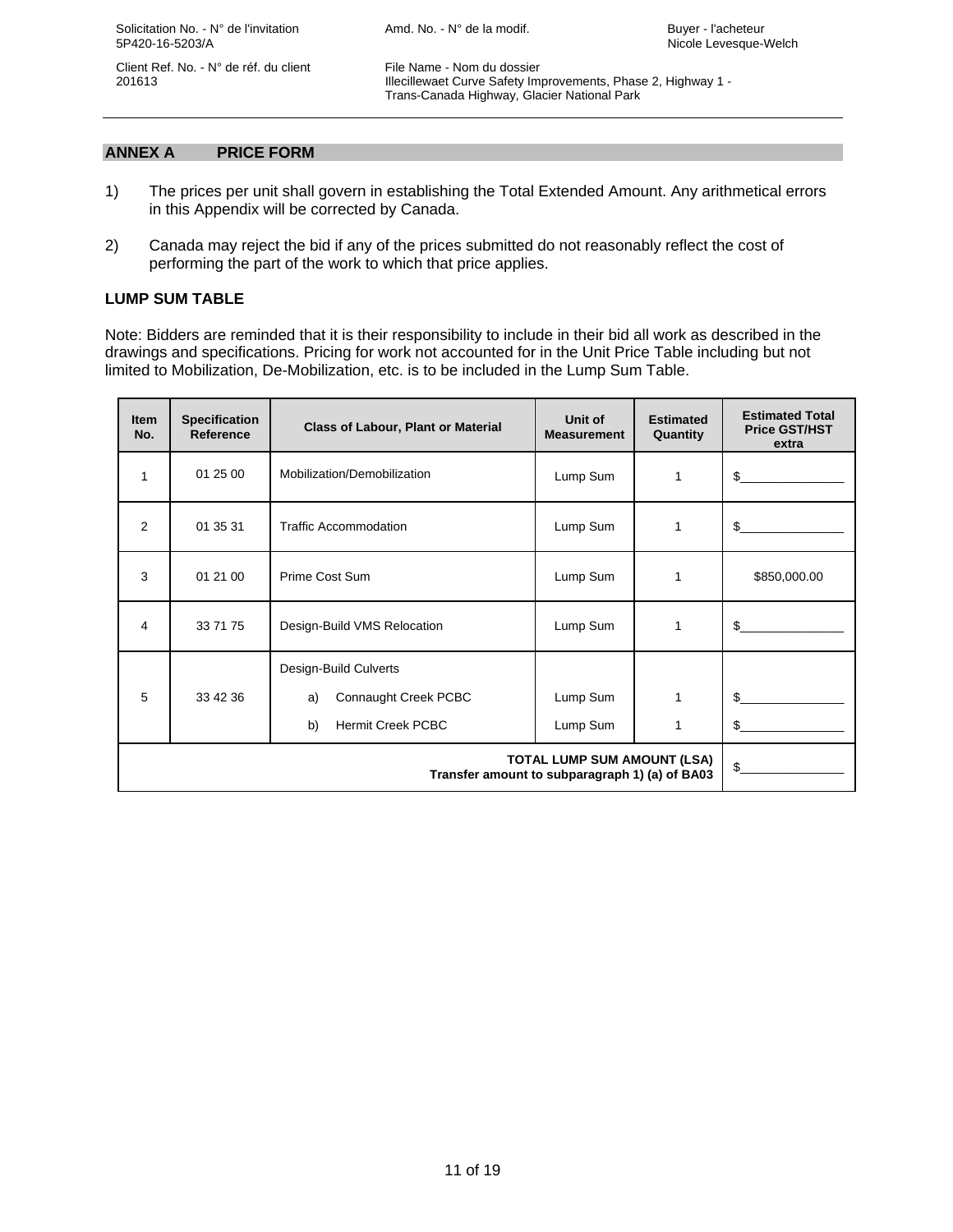Solicitation No. - N° de l'invitation Amd. No. - N° de la modif. Amd. No. - N° de la modif. 5P420-16-5203/A Nicole Levesque-Welch

Client Ref. No. - N° de réf. du client File Name - Nom du dossier

 201613 Illecillewaet Curve Safety Improvements, Phase 2, Highway 1 - Trans-Canada Highway, Glacier National Park

## **ANNEX A PRICE FORM**

- 1) The prices per unit shall govern in establishing the Total Extended Amount. Any arithmetical errors in this Appendix will be corrected by Canada.
- 2) Canada may reject the bid if any of the prices submitted do not reasonably reflect the cost of performing the part of the work to which that price applies.

## **LUMP SUM TABLE**

Note: Bidders are reminded that it is their responsibility to include in their bid all work as described in the drawings and specifications. Pricing for work not accounted for in the Unit Price Table including but not limited to Mobilization, De-Mobilization, etc. is to be included in the Lump Sum Table.

| <b>Item</b><br>No. | <b>Specification</b><br><b>Reference</b> | <b>Class of Labour, Plant or Material</b>                                             | Unit of<br><b>Measurement</b> | <b>Estimated</b><br>Quantity | <b>Estimated Total</b><br><b>Price GST/HST</b><br>extra |
|--------------------|------------------------------------------|---------------------------------------------------------------------------------------|-------------------------------|------------------------------|---------------------------------------------------------|
| 1                  | 01 25 00                                 | Mobilization/Demobilization                                                           | Lump Sum                      | 1                            | \$                                                      |
| 2                  | 01 35 31                                 | <b>Traffic Accommodation</b>                                                          | Lump Sum                      | 1                            | \$.                                                     |
| 3                  | 01 21 00                                 | Prime Cost Sum                                                                        | Lump Sum                      | 1                            | \$850,000.00                                            |
| 4                  | 33 71 75                                 | Design-Build VMS Relocation                                                           | Lump Sum                      | 1                            | \$.                                                     |
| 5                  | 33 42 36                                 | Design-Build Culverts<br>Connaught Creek PCBC<br>a)<br><b>Hermit Creek PCBC</b><br>b) | Lump Sum<br>Lump Sum          |                              | \$.<br>\$.                                              |
|                    | $\delta$                                 |                                                                                       |                               |                              |                                                         |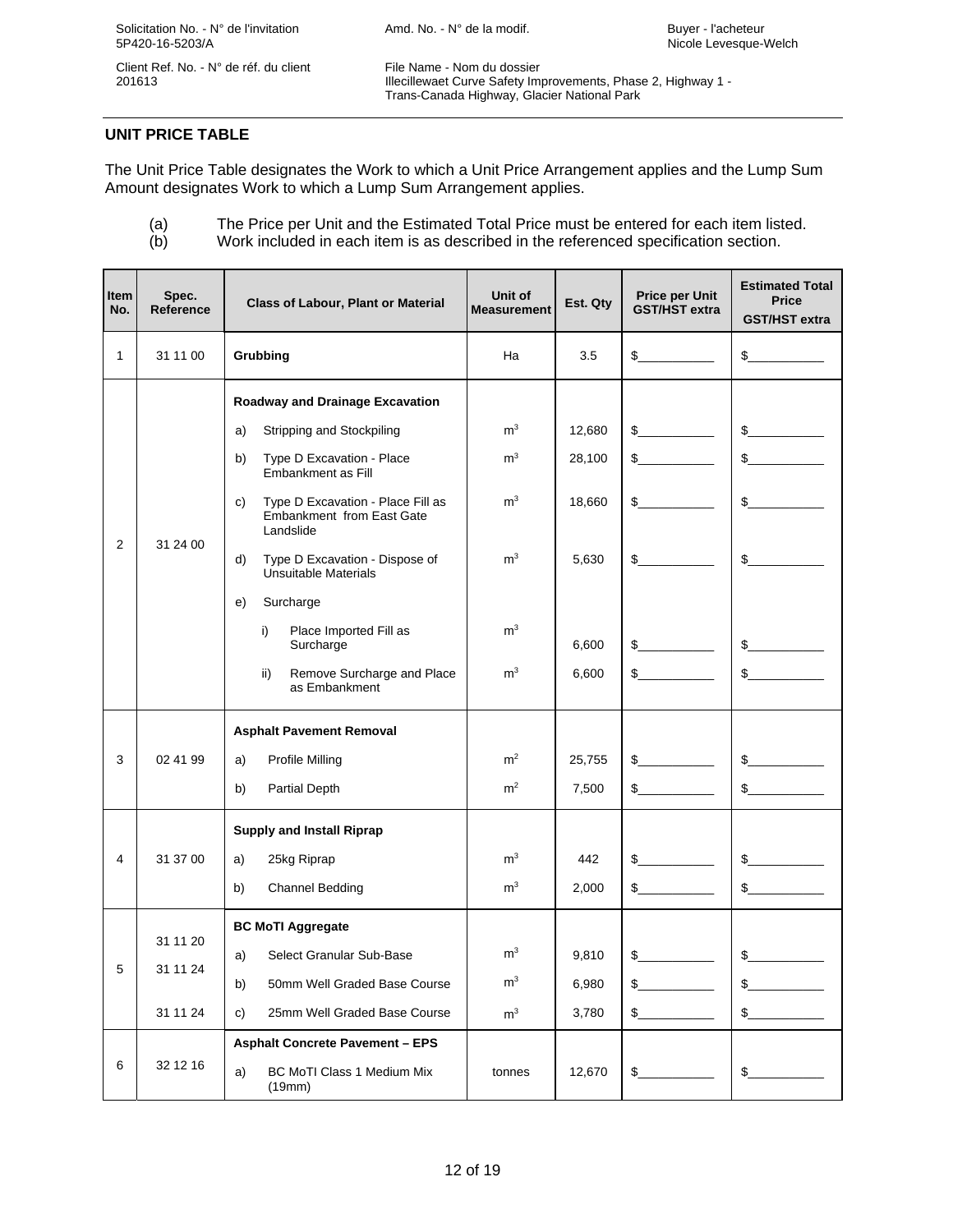201613 Illecillewaet Curve Safety Improvements, Phase 2, Highway 1 - Trans-Canada Highway, Glacier National Park

## **UNIT PRICE TABLE**

The Unit Price Table designates the Work to which a Unit Price Arrangement applies and the Lump Sum Amount designates Work to which a Lump Sum Arrangement applies.

(a) The Price per Unit and the Estimated Total Price must be entered for each item listed.

(b) Work included in each item is as described in the referenced specification section.

| Item<br>No.  | Spec.<br><b>Reference</b>        | <b>Class of Labour, Plant or Material</b>                                                                                                                                                                                                                                                                                                                                                                            | Unit of<br><b>Measurement</b>                                                                            | Est. Qty                                              | <b>Price per Unit</b><br><b>GST/HST</b> extra                                    | <b>Estimated Total</b><br><b>Price</b><br><b>GST/HST extra</b>                            |
|--------------|----------------------------------|----------------------------------------------------------------------------------------------------------------------------------------------------------------------------------------------------------------------------------------------------------------------------------------------------------------------------------------------------------------------------------------------------------------------|----------------------------------------------------------------------------------------------------------|-------------------------------------------------------|----------------------------------------------------------------------------------|-------------------------------------------------------------------------------------------|
| $\mathbf{1}$ | 31 11 00                         | Grubbing                                                                                                                                                                                                                                                                                                                                                                                                             | Ha                                                                                                       | 3.5                                                   | $\frac{1}{2}$                                                                    | $\frac{1}{2}$                                                                             |
| 2            | 31 24 00                         | <b>Roadway and Drainage Excavation</b><br>Stripping and Stockpiling<br>a)<br>Type D Excavation - Place<br>b)<br>Embankment as Fill<br>Type D Excavation - Place Fill as<br>C)<br><b>Embankment from East Gate</b><br>Landslide<br>d)<br>Type D Excavation - Dispose of<br>Unsuitable Materials<br>Surcharge<br>e)<br>Place Imported Fill as<br>i)<br>Surcharge<br>ii)<br>Remove Surcharge and Place<br>as Embankment | m <sup>3</sup><br>m <sup>3</sup><br>m <sup>3</sup><br>m <sup>3</sup><br>m <sup>3</sup><br>m <sup>3</sup> | 12,680<br>28,100<br>18,660<br>5,630<br>6,600<br>6,600 | $\frac{1}{2}$<br>$\frac{1}{2}$<br>$\mathbb{S}$<br>$\frac{1}{2}$<br>$\frac{1}{2}$ | $\frac{1}{2}$<br>$\frac{1}{2}$<br>$\frac{1}{2}$<br>$\sim$<br>$\mathbb{S}$<br>$\mathbb{S}$ |
| 3            | 02 41 99                         | <b>Asphalt Pavement Removal</b><br>Profile Milling<br>a)<br>b)<br>Partial Depth<br><b>Supply and Install Riprap</b>                                                                                                                                                                                                                                                                                                  | m <sup>2</sup><br>m <sup>2</sup>                                                                         | 25,755<br>7,500                                       | $\frac{1}{2}$<br>$\frac{1}{2}$                                                   | $\frac{1}{2}$<br>$\frac{1}{2}$                                                            |
| 4            | 31 37 00                         | 25kg Riprap<br>a)<br>Channel Bedding<br>b)                                                                                                                                                                                                                                                                                                                                                                           | m <sup>3</sup><br>m <sup>3</sup>                                                                         | 442<br>2.000                                          | $\frac{1}{2}$<br>$\mathbb{S}$                                                    | $\frac{1}{2}$<br>$\mathbb{S}$                                                             |
| 5            | 31 11 20<br>31 11 24<br>31 11 24 | <b>BC MoTI Aggregate</b><br>Select Granular Sub-Base<br>a)<br>b)<br>50mm Well Graded Base Course<br>25mm Well Graded Base Course<br>c)<br><b>Asphalt Concrete Pavement - EPS</b>                                                                                                                                                                                                                                     | m <sup>3</sup><br>$\mathsf{m}^3$<br>m <sup>3</sup>                                                       | 9.810<br>6,980<br>3,780                               | $\mathbb{S}$<br>$\mathbb{S}$<br>\$                                               | $\sim$<br>\$<br>$S_{-}$                                                                   |
| 6            | 32 12 16                         | <b>BC MoTI Class 1 Medium Mix</b><br>a)<br>(19mm)                                                                                                                                                                                                                                                                                                                                                                    | tonnes                                                                                                   | 12,670                                                | $\frac{1}{2}$                                                                    | $\frac{1}{2}$                                                                             |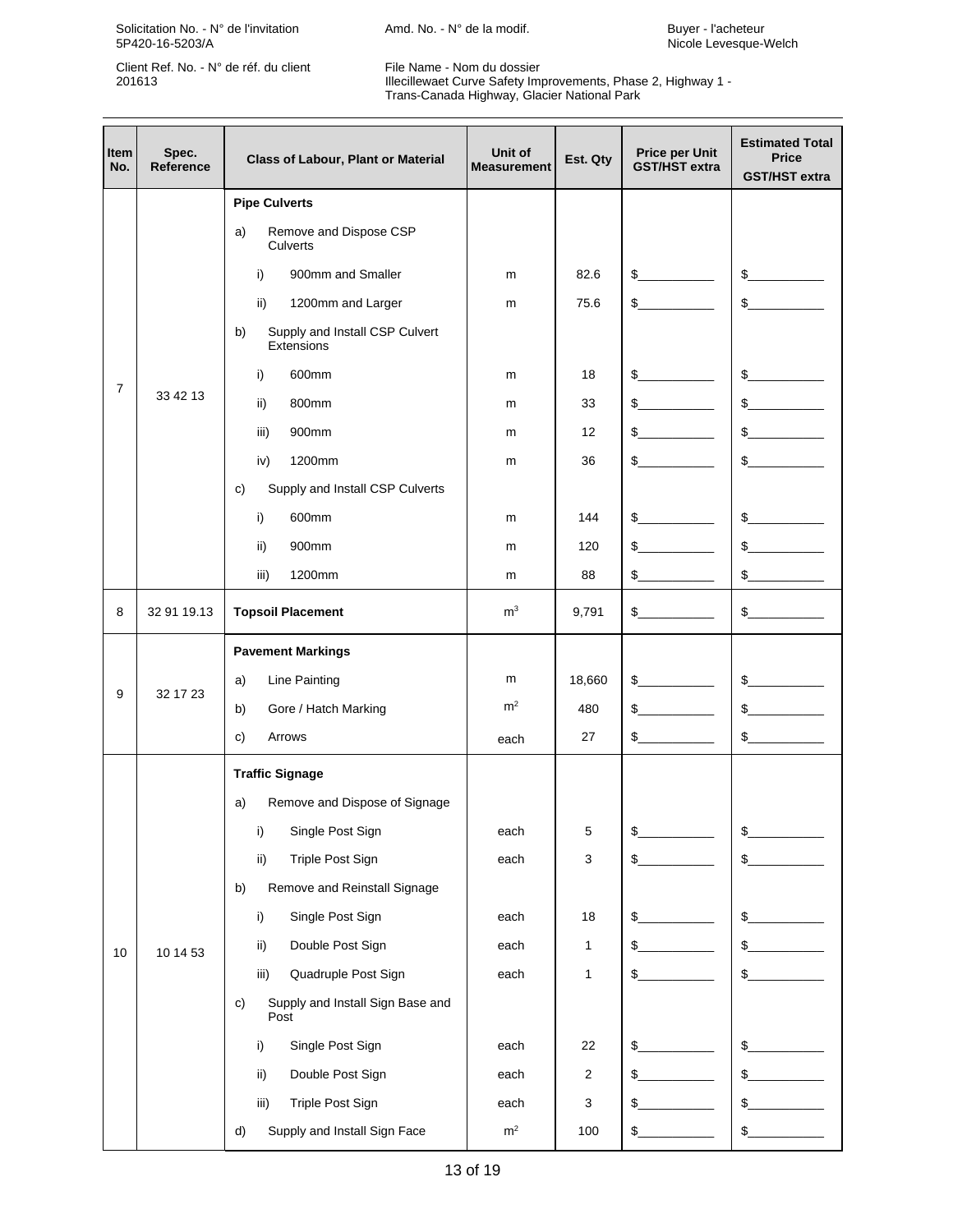Solicitation No. - N° de l'invitation **Amd. No. - N° de la modif.** Buyer - l'acheteur 5P420-16-5203/A Nicole Levesque-Welch

Client Ref. No. - N° de réf. du client File Name - Nom du dossier<br>201613 Illecillewaet Curve Safety Imp

 201613 Illecillewaet Curve Safety Improvements, Phase 2, Highway 1 - Trans-Canada Highway, Glacier National Park

| Item<br>No.    | Spec.<br><b>Reference</b> | <b>Class of Labour, Plant or Material</b>          | Unit of<br><b>Measurement</b> | Est. Qty       | <b>Price per Unit</b><br><b>GST/HST</b> extra | <b>Estimated Total</b><br><b>Price</b><br><b>GST/HST extra</b>                                                                                                                                                                                                                                                                                      |
|----------------|---------------------------|----------------------------------------------------|-------------------------------|----------------|-----------------------------------------------|-----------------------------------------------------------------------------------------------------------------------------------------------------------------------------------------------------------------------------------------------------------------------------------------------------------------------------------------------------|
|                |                           | <b>Pipe Culverts</b>                               |                               |                |                                               |                                                                                                                                                                                                                                                                                                                                                     |
|                |                           | Remove and Dispose CSP<br>a)<br>Culverts           |                               |                |                                               |                                                                                                                                                                                                                                                                                                                                                     |
|                |                           | 900mm and Smaller<br>i)                            | m                             | 82.6           | s                                             | $\frac{1}{2}$                                                                                                                                                                                                                                                                                                                                       |
|                |                           | ii)<br>1200mm and Larger                           | m                             | 75.6           | $\mathbb{S}$                                  | s                                                                                                                                                                                                                                                                                                                                                   |
|                |                           | Supply and Install CSP Culvert<br>b)<br>Extensions |                               |                |                                               |                                                                                                                                                                                                                                                                                                                                                     |
|                |                           | i)<br>600mm                                        | m                             | 18             | $\frac{1}{2}$                                 | $\begin{picture}(20,20) \put(0,0){\line(1,0){10}} \put(15,0){\line(1,0){10}} \put(15,0){\line(1,0){10}} \put(15,0){\line(1,0){10}} \put(15,0){\line(1,0){10}} \put(15,0){\line(1,0){10}} \put(15,0){\line(1,0){10}} \put(15,0){\line(1,0){10}} \put(15,0){\line(1,0){10}} \put(15,0){\line(1,0){10}} \put(15,0){\line(1,0){10}} \put(15,0){\line(1$ |
| $\overline{7}$ | 33 42 13                  | 800mm<br>ii)                                       | m                             | 33             | $\frac{1}{2}$                                 | s                                                                                                                                                                                                                                                                                                                                                   |
|                |                           | iii)<br>900mm                                      | m                             | 12             | \$                                            | $\frac{1}{2}$                                                                                                                                                                                                                                                                                                                                       |
|                |                           | 1200mm<br>iv)                                      | m                             | 36             | $\mathbb{S}$                                  | s                                                                                                                                                                                                                                                                                                                                                   |
|                |                           | Supply and Install CSP Culverts<br>c)              |                               |                |                                               |                                                                                                                                                                                                                                                                                                                                                     |
|                |                           | 600mm<br>i)                                        | m                             | 144            | $\frac{1}{2}$                                 | $\frac{1}{2}$                                                                                                                                                                                                                                                                                                                                       |
|                |                           | ii)<br>900mm                                       | m                             | 120            | \$                                            | $\sim$                                                                                                                                                                                                                                                                                                                                              |
|                |                           | iii)<br>1200mm                                     | m                             | 88             | \$                                            | $\frac{1}{2}$                                                                                                                                                                                                                                                                                                                                       |
| 8              | 32 91 19.13               | <b>Topsoil Placement</b>                           | m <sup>3</sup>                | 9,791          | $\mathbb{S}$                                  | s                                                                                                                                                                                                                                                                                                                                                   |
|                | 32 17 23                  | <b>Pavement Markings</b>                           |                               |                |                                               |                                                                                                                                                                                                                                                                                                                                                     |
|                |                           | Line Painting<br>a)                                | m                             | 18,660         | $\frac{1}{2}$                                 | s                                                                                                                                                                                                                                                                                                                                                   |
| 9              |                           | b)<br>Gore / Hatch Marking                         | m <sup>2</sup>                | 480            | $\mathbb{S}$                                  | s                                                                                                                                                                                                                                                                                                                                                   |
|                |                           | c)<br>Arrows                                       | each                          | 27             | $\frac{1}{2}$                                 | s                                                                                                                                                                                                                                                                                                                                                   |
|                |                           | <b>Traffic Signage</b>                             |                               |                |                                               |                                                                                                                                                                                                                                                                                                                                                     |
|                |                           | Remove and Dispose of Signage<br>a)                |                               |                |                                               |                                                                                                                                                                                                                                                                                                                                                     |
|                |                           | Single Post Sign<br>i)                             | each                          | 5              |                                               | \$                                                                                                                                                                                                                                                                                                                                                  |
|                |                           | <b>Triple Post Sign</b><br>ii)                     | each                          | 3              | \$                                            | \$                                                                                                                                                                                                                                                                                                                                                  |
|                |                           | Remove and Reinstall Signage<br>b)                 |                               |                |                                               |                                                                                                                                                                                                                                                                                                                                                     |
|                |                           | Single Post Sign<br>i)                             | each                          | 18             | \$                                            | \$                                                                                                                                                                                                                                                                                                                                                  |
| 10             | 10 14 53                  | Double Post Sign<br>ii)                            | each                          | 1              | \$                                            | \$                                                                                                                                                                                                                                                                                                                                                  |
|                |                           | Quadruple Post Sign<br>iii)                        | each                          | 1              | \$                                            | $S_{-}$                                                                                                                                                                                                                                                                                                                                             |
|                |                           | Supply and Install Sign Base and<br>c)<br>Post     |                               |                |                                               |                                                                                                                                                                                                                                                                                                                                                     |
|                |                           | Single Post Sign<br>i)                             | each                          | 22             | \$                                            | \$                                                                                                                                                                                                                                                                                                                                                  |
|                |                           | Double Post Sign<br>ii)                            | each                          | $\overline{2}$ |                                               | \$                                                                                                                                                                                                                                                                                                                                                  |
|                |                           | Triple Post Sign<br>iii)                           | each                          | 3              | \$                                            | \$                                                                                                                                                                                                                                                                                                                                                  |
|                |                           | Supply and Install Sign Face<br>d)                 | $\rm m^2$                     | 100            | \$                                            | $\frac{1}{2}$<br>$\overline{\phantom{a}}$                                                                                                                                                                                                                                                                                                           |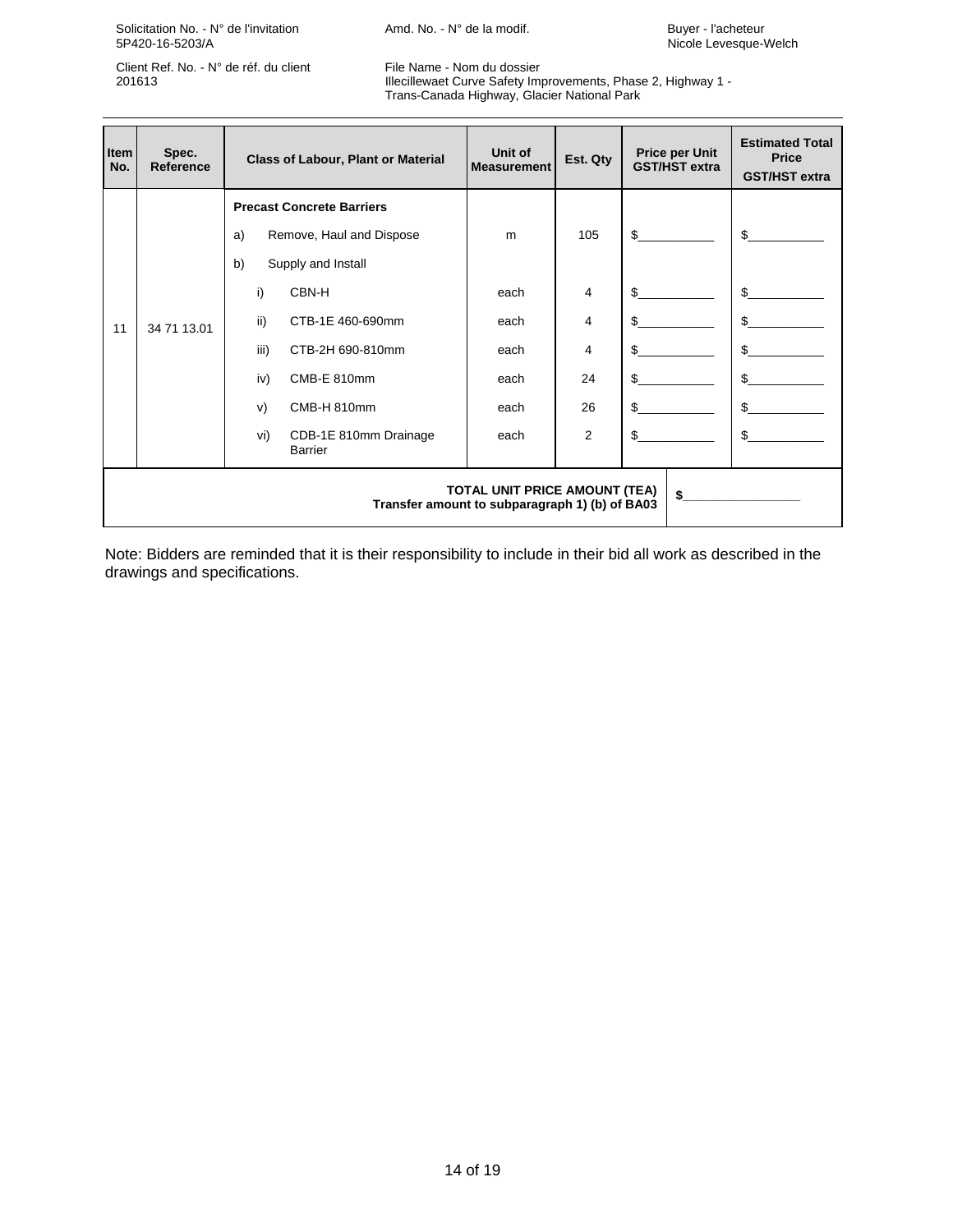Solicitation No. - N° de l'invitation **Amd. No. - N° de la modif.** Buyer - l'acheteur<br>5P420-16-5203/A **Microphysis** Amd. No. - N° de la modif. **Buyer - l'acheteur** - Nicole Levesque-N

Client Ref. No. - N° de réf. du client File Name - Nom du dossier

 201613 Illecillewaet Curve Safety Improvements, Phase 2, Highway 1 - Trans-Canada Highway, Glacier National Park

| Item<br>No. | Spec.<br><b>Reference</b> | <b>Class of Labour, Plant or Material</b>                                                    | Unit of<br><b>Measurement</b> | Est. Qty       | <b>Price per Unit</b><br><b>GST/HST extra</b> | <b>Estimated Total</b><br><b>Price</b><br><b>GST/HST extra</b> |
|-------------|---------------------------|----------------------------------------------------------------------------------------------|-------------------------------|----------------|-----------------------------------------------|----------------------------------------------------------------|
|             |                           | <b>Precast Concrete Barriers</b>                                                             |                               |                |                                               |                                                                |
|             |                           | Remove, Haul and Dispose<br>a)                                                               | m                             | 105            | $\mathfrak{L}$                                | \$.                                                            |
|             |                           | b)<br>Supply and Install                                                                     |                               |                |                                               |                                                                |
|             | 34 71 13.01               | CBN-H<br>i)                                                                                  | each                          | $\overline{4}$ | \$                                            | \$                                                             |
| 11          |                           | ii)<br>CTB-1E 460-690mm                                                                      | each                          | 4              |                                               | \$                                                             |
|             |                           | iii)<br>CTB-2H 690-810mm                                                                     | each                          | 4              | \$                                            | \$                                                             |
|             |                           | iv)<br>CMB-E 810mm                                                                           | each                          | 24             | \$                                            | \$                                                             |
|             |                           | CMB-H 810mm<br>V)                                                                            | each                          | 26             | \$                                            | \$                                                             |
|             |                           | CDB-1E 810mm Drainage<br>vi)<br><b>Barrier</b>                                               | each                          | $\overline{2}$ | \$                                            | \$                                                             |
|             |                           | <b>TOTAL UNIT PRICE AMOUNT (TEA)</b><br>\$<br>Transfer amount to subparagraph 1) (b) of BA03 |                               |                |                                               |                                                                |

Note: Bidders are reminded that it is their responsibility to include in their bid all work as described in the drawings and specifications.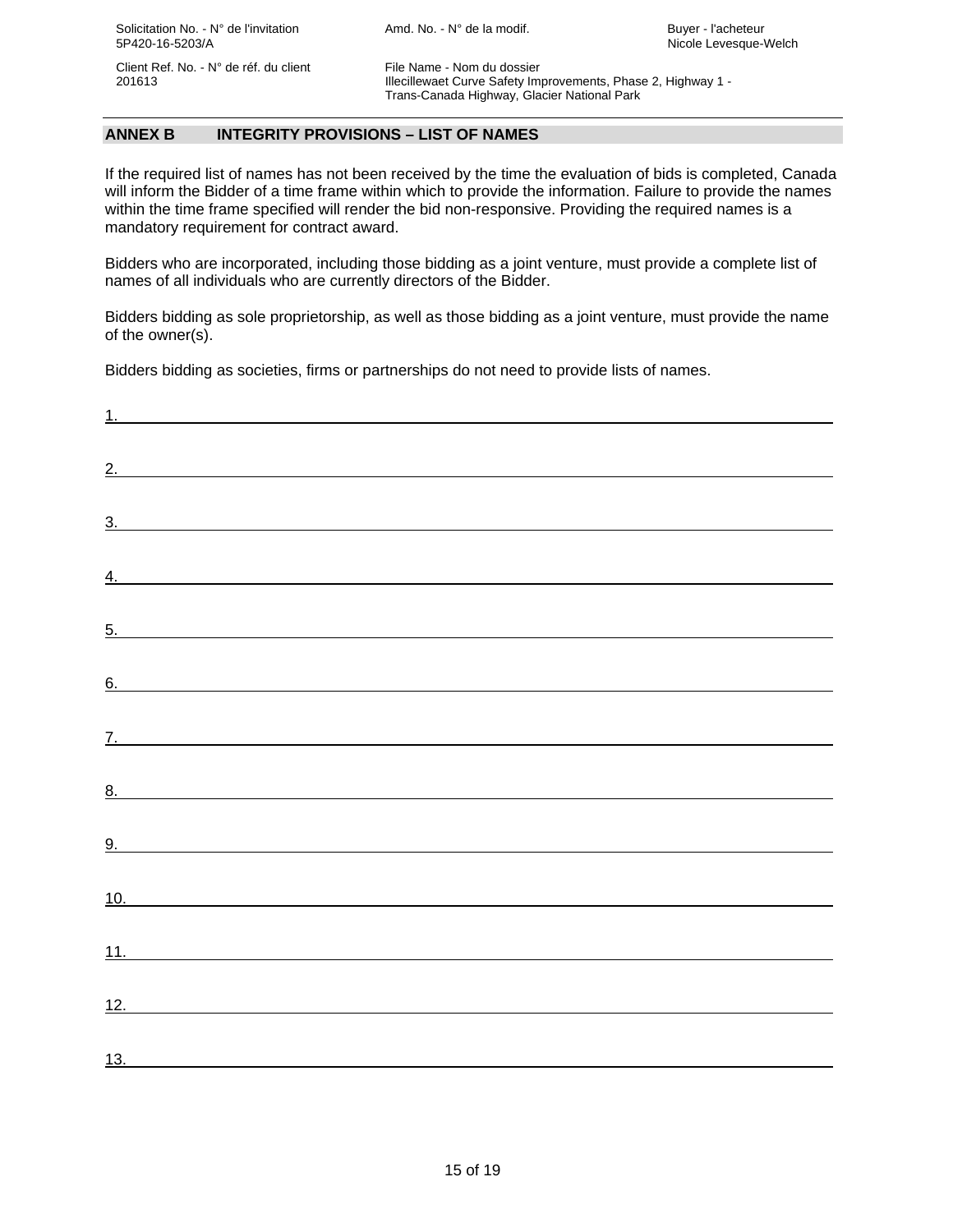201613 Illecillewaet Curve Safety Improvements, Phase 2, Highway 1 - Trans-Canada Highway, Glacier National Park

#### **ANNEX B INTEGRITY PROVISIONS – LIST OF NAMES**

If the required list of names has not been received by the time the evaluation of bids is completed, Canada will inform the Bidder of a time frame within which to provide the information. Failure to provide the names within the time frame specified will render the bid non-responsive. Providing the required names is a mandatory requirement for contract award.

Bidders who are incorporated, including those bidding as a joint venture, must provide a complete list of names of all individuals who are currently directors of the Bidder.

Bidders bidding as sole proprietorship, as well as those bidding as a joint venture, must provide the name of the owner(s).

Bidders bidding as societies, firms or partnerships do not need to provide lists of names.

| 2.                       |  |  |
|--------------------------|--|--|
| 3.                       |  |  |
| $\frac{4}{1}$            |  |  |
|                          |  |  |
| $\overline{5}$ .         |  |  |
| 6.                       |  |  |
|                          |  |  |
| <u>8.</u>                |  |  |
| <u>9.</u>                |  |  |
|                          |  |  |
|                          |  |  |
|                          |  |  |
| 10.<br>11.<br>12.<br>13. |  |  |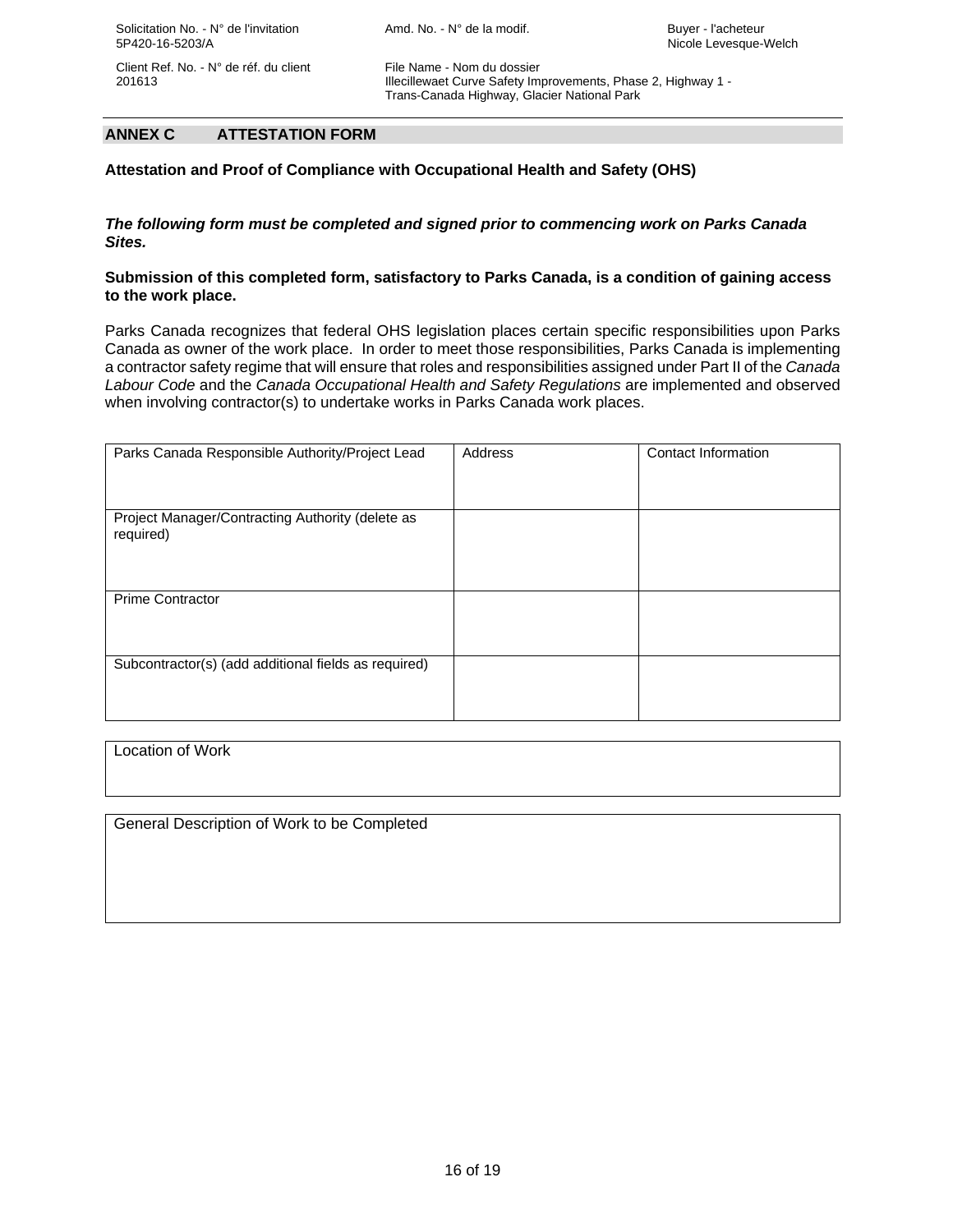201613 Illecillewaet Curve Safety Improvements, Phase 2, Highway 1 - Trans-Canada Highway, Glacier National Park

#### **ANNEX C ATTESTATION FORM**

**Attestation and Proof of Compliance with Occupational Health and Safety (OHS)** 

#### *The following form must be completed and signed prior to commencing work on Parks Canada Sites.*

#### **Submission of this completed form, satisfactory to Parks Canada, is a condition of gaining access to the work place.**

Parks Canada recognizes that federal OHS legislation places certain specific responsibilities upon Parks Canada as owner of the work place. In order to meet those responsibilities, Parks Canada is implementing a contractor safety regime that will ensure that roles and responsibilities assigned under Part II of the *Canada Labour Code* and the *Canada Occupational Health and Safety Regulations* are implemented and observed when involving contractor(s) to undertake works in Parks Canada work places.

| Parks Canada Responsible Authority/Project Lead               | Address | Contact Information |
|---------------------------------------------------------------|---------|---------------------|
| Project Manager/Contracting Authority (delete as<br>required) |         |                     |
| <b>Prime Contractor</b>                                       |         |                     |
| Subcontractor(s) (add additional fields as required)          |         |                     |

Location of Work

General Description of Work to be Completed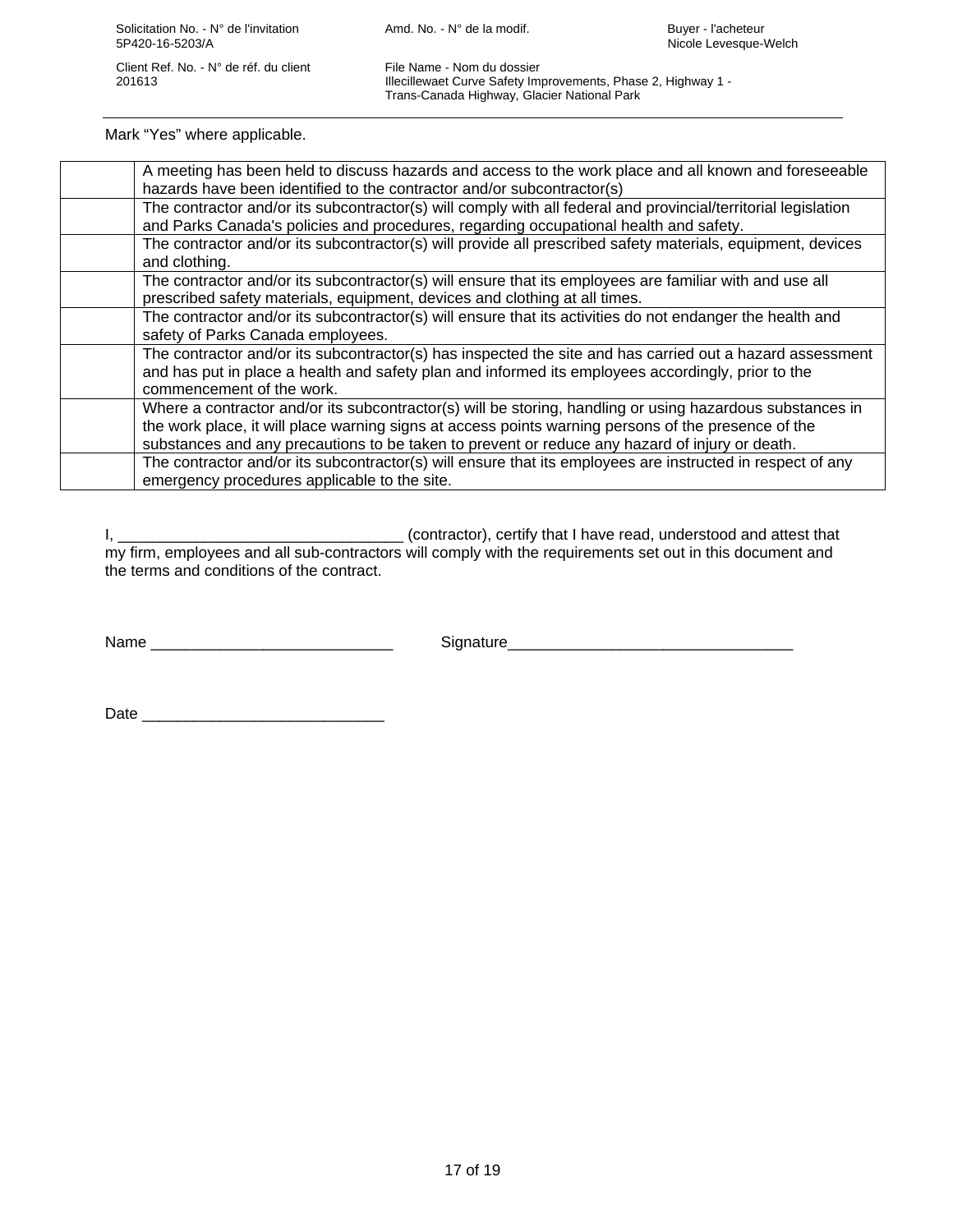201613 Illecillewaet Curve Safety Improvements, Phase 2, Highway 1 - Trans-Canada Highway, Glacier National Park

Mark "Yes" where applicable.

| A meeting has been held to discuss hazards and access to the work place and all known and foreseeable          |
|----------------------------------------------------------------------------------------------------------------|
| hazards have been identified to the contractor and/or subcontractor(s)                                         |
| The contractor and/or its subcontractor(s) will comply with all federal and provincial/territorial legislation |
| and Parks Canada's policies and procedures, regarding occupational health and safety.                          |
| The contractor and/or its subcontractor(s) will provide all prescribed safety materials, equipment, devices    |
| and clothing.                                                                                                  |
| The contractor and/or its subcontractor(s) will ensure that its employees are familiar with and use all        |
| prescribed safety materials, equipment, devices and clothing at all times.                                     |
| The contractor and/or its subcontractor(s) will ensure that its activities do not endanger the health and      |
| safety of Parks Canada employees.                                                                              |
| The contractor and/or its subcontractor(s) has inspected the site and has carried out a hazard assessment      |
| and has put in place a health and safety plan and informed its employees accordingly, prior to the             |
| commencement of the work.                                                                                      |
| Where a contractor and/or its subcontractor(s) will be storing, handling or using hazardous substances in      |
| the work place, it will place warning signs at access points warning persons of the presence of the            |
| substances and any precautions to be taken to prevent or reduce any hazard of injury or death.                 |
| The contractor and/or its subcontractor(s) will ensure that its employees are instructed in respect of any     |
| emergency procedures applicable to the site.                                                                   |

I, \_\_\_\_\_\_\_\_\_\_\_\_\_\_\_\_\_\_\_\_\_\_\_\_\_\_\_\_\_\_\_\_\_ (contractor), certify that I have read, understood and attest that my firm, employees and all sub-contractors will comply with the requirements set out in this document and the terms and conditions of the contract.

Name \_\_\_\_\_\_\_\_\_\_\_\_\_\_\_\_\_\_\_\_\_\_\_\_\_\_\_\_ Signature\_\_\_\_\_\_\_\_\_\_\_\_\_\_\_\_\_\_\_\_\_\_\_\_\_\_\_\_\_\_\_\_\_

 $Date$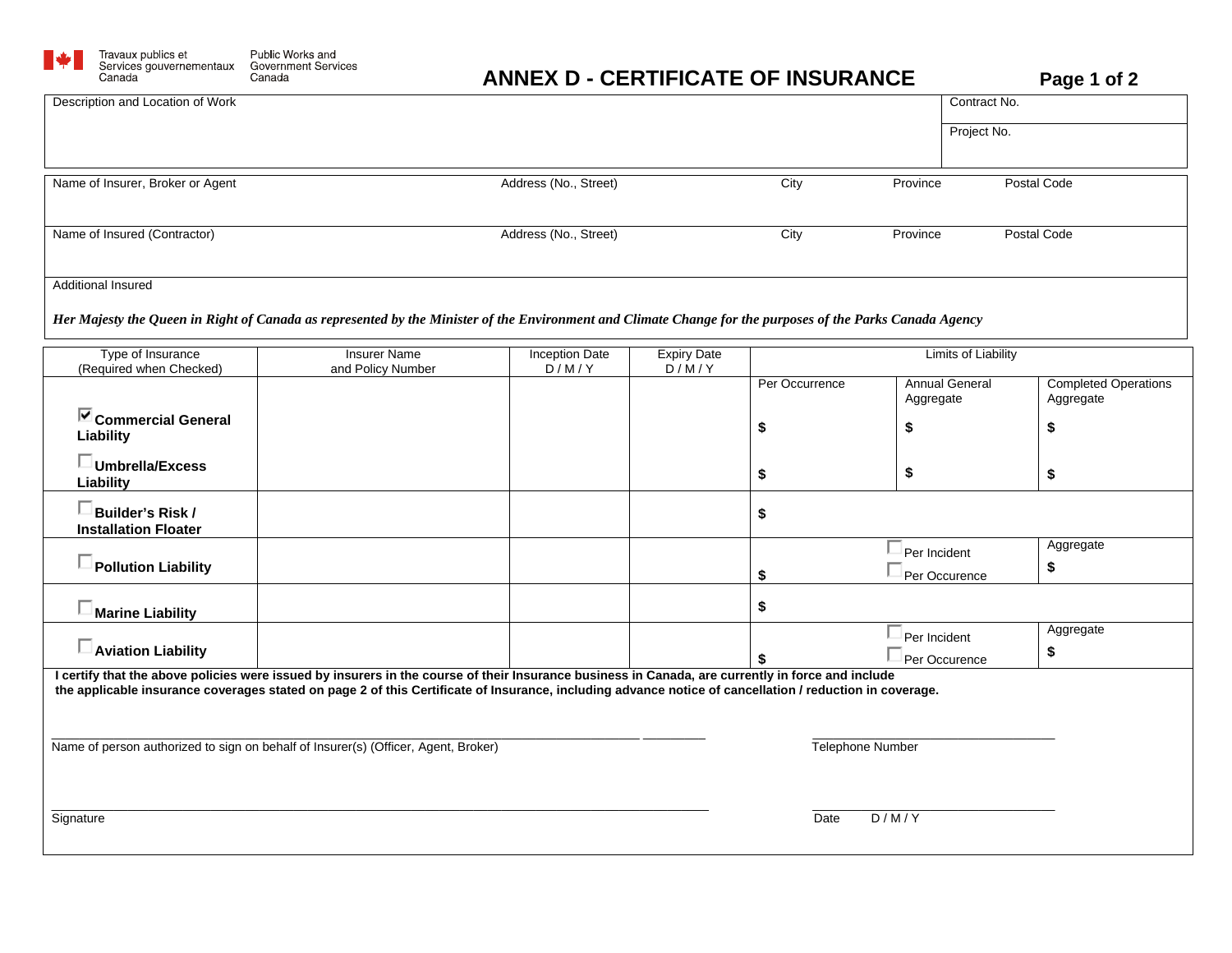

## **ANNEX D - CERTIFICATE OF INSURANCE Page 1 of 2**

| Canada                                 | Canada                                                                                                                                                                                                                                                                                                       | ANNEX D - CERTIFICATE OF INSURANCE |                    |                  |                                    |                            | Page 1 or 2                              |
|----------------------------------------|--------------------------------------------------------------------------------------------------------------------------------------------------------------------------------------------------------------------------------------------------------------------------------------------------------------|------------------------------------|--------------------|------------------|------------------------------------|----------------------------|------------------------------------------|
| Description and Location of Work       |                                                                                                                                                                                                                                                                                                              |                                    |                    |                  |                                    | Contract No.               |                                          |
|                                        |                                                                                                                                                                                                                                                                                                              |                                    |                    |                  |                                    | Project No.                |                                          |
|                                        |                                                                                                                                                                                                                                                                                                              |                                    |                    |                  |                                    |                            |                                          |
| Name of Insurer, Broker or Agent       |                                                                                                                                                                                                                                                                                                              | Address (No., Street)              |                    | City             | Province                           |                            | Postal Code                              |
|                                        |                                                                                                                                                                                                                                                                                                              |                                    |                    |                  |                                    |                            |                                          |
| Name of Insured (Contractor)           |                                                                                                                                                                                                                                                                                                              | Address (No., Street)              |                    | City             | Province                           |                            | Postal Code                              |
|                                        |                                                                                                                                                                                                                                                                                                              |                                    |                    |                  |                                    |                            |                                          |
| Additional Insured                     |                                                                                                                                                                                                                                                                                                              |                                    |                    |                  |                                    |                            |                                          |
|                                        | Her Majesty the Queen in Right of Canada as represented by the Minister of the Environment and Climate Change for the purposes of the Parks Canada Agency                                                                                                                                                    |                                    |                    |                  |                                    |                            |                                          |
| Type of Insurance                      | <b>Insurer Name</b>                                                                                                                                                                                                                                                                                          | <b>Inception Date</b>              | <b>Expiry Date</b> |                  |                                    | <b>Limits of Liability</b> |                                          |
| (Required when Checked)                | and Policy Number                                                                                                                                                                                                                                                                                            | D/M/Y                              | D/M/Y              |                  |                                    |                            |                                          |
|                                        |                                                                                                                                                                                                                                                                                                              |                                    |                    | Per Occurrence   | <b>Annual General</b><br>Aggregate |                            | <b>Completed Operations</b><br>Aggregate |
| Commercial General<br>Liability        |                                                                                                                                                                                                                                                                                                              |                                    |                    | \$               | \$                                 |                            | \$                                       |
|                                        |                                                                                                                                                                                                                                                                                                              |                                    |                    |                  |                                    |                            |                                          |
| $\square$ Umbrella/Excess<br>Liability |                                                                                                                                                                                                                                                                                                              |                                    |                    | \$               | \$                                 |                            | \$                                       |
| $\square$ Builder's Risk /             |                                                                                                                                                                                                                                                                                                              |                                    |                    | \$               |                                    |                            |                                          |
| <b>Installation Floater</b>            |                                                                                                                                                                                                                                                                                                              |                                    |                    |                  |                                    |                            |                                          |
| $\square$ Pollution Liability          |                                                                                                                                                                                                                                                                                                              |                                    |                    |                  | Per Incident                       |                            | Aggregate                                |
|                                        |                                                                                                                                                                                                                                                                                                              |                                    |                    | \$               | Per Occurence                      |                            | \$                                       |
| $\Box$ Marine Liability                |                                                                                                                                                                                                                                                                                                              |                                    |                    | \$               |                                    |                            |                                          |
|                                        |                                                                                                                                                                                                                                                                                                              |                                    |                    |                  | Per Incident                       |                            | Aggregate                                |
| $\square$ Aviation Liability           |                                                                                                                                                                                                                                                                                                              |                                    |                    |                  | Per Occurence                      |                            | \$                                       |
|                                        | I certify that the above policies were issued by insurers in the course of their Insurance business in Canada, are currently in force and include<br>the applicable insurance coverages stated on page 2 of this Certificate of Insurance, including advance notice of cancellation / reduction in coverage. |                                    |                    |                  |                                    |                            |                                          |
|                                        |                                                                                                                                                                                                                                                                                                              |                                    |                    |                  |                                    |                            |                                          |
|                                        |                                                                                                                                                                                                                                                                                                              |                                    |                    |                  |                                    |                            |                                          |
|                                        | Name of person authorized to sign on behalf of Insurer(s) (Officer, Agent, Broker)                                                                                                                                                                                                                           |                                    |                    | Telephone Number |                                    |                            |                                          |
|                                        |                                                                                                                                                                                                                                                                                                              |                                    |                    |                  |                                    |                            |                                          |
|                                        |                                                                                                                                                                                                                                                                                                              |                                    |                    |                  |                                    |                            |                                          |
| Signature                              |                                                                                                                                                                                                                                                                                                              |                                    |                    | Date             | D/M/Y                              |                            |                                          |
|                                        |                                                                                                                                                                                                                                                                                                              |                                    |                    |                  |                                    |                            |                                          |